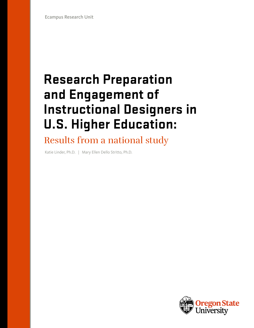# **Research Preparation and Engagement of Instructional Designers in U.S. Higher Education:**

Results from a national study

Katie Linder, Ph.D. | Mary Ellen Dello Stritto, Ph.D.

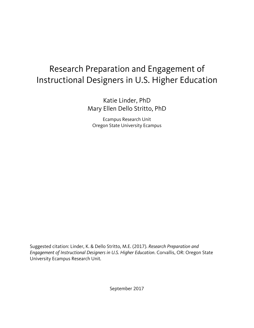# Research Preparation and Engagement of Instructional Designers in U.S. Higher Education

Katie Linder, PhD Mary Ellen Dello Stritto, PhD

Ecampus Research Unit Oregon State University Ecampus

Suggested citation: Linder, K. & Dello Stritto, M.E. (2017). *Research Preparation and Engagement of Instructional Designers in U.S. Higher Education*. Corvallis, OR: Oregon State University Ecampus Research Unit*.*

September 2017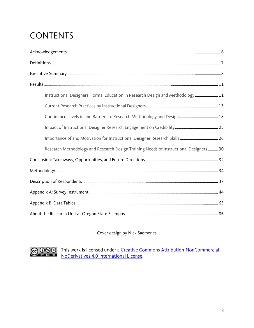# **CONTENTS**

| Instructional Designers' Formal Education in Research Design and Methodology  11       |
|----------------------------------------------------------------------------------------|
|                                                                                        |
|                                                                                        |
|                                                                                        |
|                                                                                        |
| Research Methodology and Research Design Training Needs of Instructional Designers  30 |
|                                                                                        |
|                                                                                        |
|                                                                                        |
|                                                                                        |
|                                                                                        |
|                                                                                        |

### Cover design by Nick Saemenes



This work is licensed under a [Creative Commons Attribution-NonCommercial-](http://creativecommons.org/licenses/by-nc-nd/4.0/)[NoDerivatives 4.0 International License.](http://creativecommons.org/licenses/by-nc-nd/4.0/)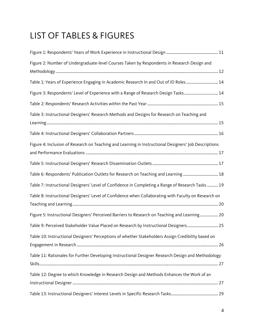# LIST OF TABLES & FIGURES

| Figure 2: Number of Undergraduate-level Courses Taken by Respondents in Research Design and           |  |
|-------------------------------------------------------------------------------------------------------|--|
| Table 1: Years of Experience Engaging in Academic Research In and Out of ID Roles 14                  |  |
| Figure 3: Respondents' Level of Experience with a Range of Research Design Tasks 14                   |  |
|                                                                                                       |  |
| Table 3: Instructional Designers' Research Methods and Designs for Research on Teaching and           |  |
|                                                                                                       |  |
| Figure 4: Inclusion of Research on Teaching and Learning in Instructional Designers' Job Descriptions |  |
|                                                                                                       |  |
| Table 6: Respondents' Publication Outlets for Research on Teaching and Learning  18                   |  |
| Table 7: Instructional Designers' Level of Confidence in Completing a Range of Research Tasks 19      |  |
| Table 8: Instructional Designers' Level of Confidence when Collaborating with Faculty on Research on  |  |
| Figure 5: Instructional Designers' Perceived Barriers to Research on Teaching and Learning 20         |  |
| Table 9: Perceived Stakeholder Value Placed on Research by Instructional Designers 25                 |  |
| Table 10: Instructional Designers' Perceptions of whether Stakeholders Assign Credibility based on    |  |
| Table 11: Rationales for Further Developing Instructional Designer Research Design and Methodology    |  |
| Table 12: Degree to which Knowledge in Research Design and Methods Enhances the Work of an            |  |
|                                                                                                       |  |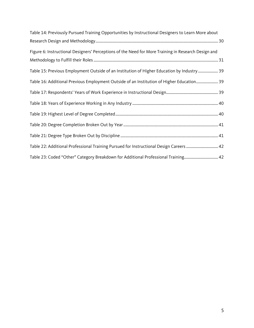| Table 14: Previously Pursued Training Opportunities by Instructional Designers to Learn More about  |  |
|-----------------------------------------------------------------------------------------------------|--|
|                                                                                                     |  |
| Figure 6: Instructional Designers' Perceptions of the Need for More Training in Research Design and |  |
|                                                                                                     |  |
| Table 15: Previous Employment Outside of an Institution of Higher Education by Industry 39          |  |
| Table 16: Additional Previous Employment Outside of an Institution of Higher Education 39           |  |
|                                                                                                     |  |
|                                                                                                     |  |
|                                                                                                     |  |
|                                                                                                     |  |
|                                                                                                     |  |
| Table 22: Additional Professional Training Pursued for Instructional Design Careers  42             |  |
| Table 23: Coded "Other" Category Breakdown for Additional Professional Training 42                  |  |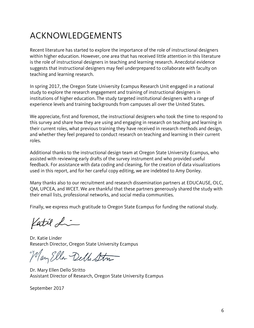# ACKNOWLEDGEMENTS

Recent literature has started to explore the importance of the role of instructional designers within higher education. However, one area that has received little attention in this literature is the role of instructional designers in teaching and learning research. Anecdotal evidence suggests that instructional designers may feel underprepared to collaborate with faculty on teaching and learning research.

In spring 2017, the Oregon State University Ecampus Research Unit engaged in a national study to explore the research engagement and training of instructional designers in institutions of higher education. The study targeted institutional designers with a range of experience levels and training backgrounds from campuses all over the United States.

We appreciate, first and foremost, the instructional designers who took the time to respond to this survey and share how they are using and engaging in research on teaching and learning in their current roles, what previous training they have received in research methods and design, and whether they feel prepared to conduct research on teaching and learning in their current roles.

Additional thanks to the instructional design team at Oregon State University Ecampus, who assisted with reviewing early drafts of the survey instrument and who provided useful feedback. For assistance with data coding and cleaning, for the creation of data visualizations used in this report, and for her careful copy editing, we are indebted to Amy Donley.

Many thanks also to our recruitment and research dissemination partners at EDUCAUSE, OLC, QM, UPCEA, and WCET. We are thankful that these partners generously shared the study with their email lists, professional networks, and social media communities.

Finally, we express much gratitude to Oregon State Ecampus for funding the national study.

Katil Li

Dr. Katie Linder Research Director, Oregon State University Ecampus

Mary Eller Dello Str

Dr. Mary Ellen Dello Stritto Assistant Director of Research, Oregon State University Ecampus

September 2017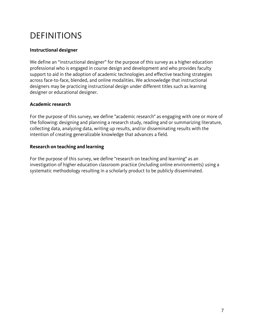# DEFINITIONS

### **Instructional designer**

We define an "instructional designer" for the purpose of this survey as a higher education professional who is engaged in course design and development and who provides faculty support to aid in the adoption of academic technologies and effective teaching strategies across face-to-face, blended, and online modalities. We acknowledge that instructional designers may be practicing instructional design under different titles such as learning designer or educational designer.

#### **Academic research**

For the purpose of this survey, we define "academic research" as engaging with one or more of the following: designing and planning a research study, reading and or summarizing literature, collecting data, analyzing data, writing up results, and/or disseminating results with the intention of creating generalizable knowledge that advances a field.

#### **Research on teaching and learning**

For the purpose of this survey, we define "research on teaching and learning" as an investigation of higher education classroom practice (including online environments) using a systematic methodology resulting in a scholarly product to be publicly disseminated.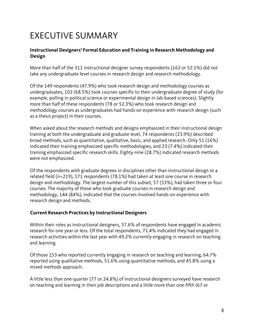# EXECUTIVE SUMMARY

#### **Instructional Designers' Formal Education and Training in Research Methodology and Design**

More than half of the 311 instructional designer survey respondents (162 or 52.1%) did not take any undergraduate level courses in research design and research methodology.

Of the 149 respondents (47.9%) who took research design and methodology courses as undergraduates, 102 (68.5%) took courses specific to their undergraduate degree of study (for example, polling in political science or experimental design in lab-based sciences). Slightly more than half of these respondents (78 or 52.3%) who took research design and methodology courses as undergraduates had hands-on experience with research design (such as a thesis project) in their courses.

When asked about the research methods and designs emphasized in their instructional design training at both the undergraduate and graduate level, 74 respondents (23.9%) described broad methods, such as quantitative, qualitative, basic, and applied research. Only 51 (16%) indicated their training emphasized specific methodologies, and 23 (7.4%) indicated their training emphasized specific research skills. Eighty-nine (28.7%) indicated research methods were not emphasized.

Of the respondents with graduate degrees in disciplines other than instructional design or a related field (n=219), 171 respondents (78.1%) had taken at least one course in research design and methodology. The largest number of this subset, 57 (33%), had taken three or four courses. The majority of those who took graduate courses in research design and methodology, 144 (84%), indicated that the courses involved hands-on experience with research design and methods.

#### **Current Research Practices by Instructional Designers**

Within their roles as instructional designers, 37.6% of respondents have engaged in academic research for one year or less. Of the total respondents, 71.4% indicated they had engaged in research activities within the last year with 49.2% currently engaging in research on teaching and learning.

Of those 153 who reported currently engaging in research on teaching and learning, 64.7% reported using qualitative methods, 51.6% using quantitative methods, and 45.8% using a mixed methods approach.

A little less than one-quarter (77 or 24.8%) of instructional designers surveyed have research on teaching and learning in their job descriptions and a little more than one-fifth (67 or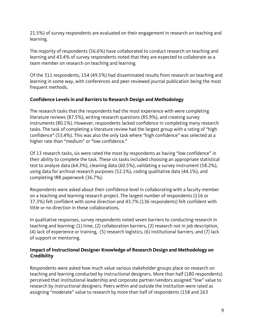21.5%) of survey respondents are evaluated on their engagement in research on teaching and learning.

The majority of respondents (56.6%) have collaborated to conduct research on teaching and learning and 43.4% of survey respondents noted that they are expected to collaborate as a team member on research on teaching and learning.

Of the 311 respondents, 154 (49.5%) had disseminated results from research on teaching and learning in some way, with conferences and peer-reviewed journal publication being the most frequent methods.

# **Confidence Levels in and Barriers to Research Design and Methodology**

The research tasks that the respondents had the most experience with were completing literature reviews (87.5%), writing research questions (85.9%), and creating survey instruments (80.1%). However, respondents lacked confidence in completing many research tasks. The task of completing a literature review had the largest group with a rating of "high confidence" (53.4%). This was also the only task where "high confidence" was selected at a higher rate than "medium" or "low confidence."

Of 13 research tasks, six were rated the most by respondents as having "low confidence" in their ability to complete the task. These six tasks included choosing an appropriate statistical test to analyze data (64.3%), cleaning data (60.5%), validating a survey instrument (58.2%), using data for archival research purposes (52.1%), coding qualitative data (44.1%), and completing IRB paperwork (36.7%).

Respondents were asked about their confidence level in collaborating with a faculty member on a teaching and learning research project. The largest number of respondents (116 or 37.3%) felt confident with some direction and 43.7% (136 respondents) felt confident with little or no direction in these collaborations.

In qualitative responses, survey respondents noted seven barriers to conducting research in teaching and learning: (1) time, (2) collaboration barriers, (3) research not in job description, (4) lack of experience or training, (5) research logistics, (6) institutional barriers, and (7) lack of support or mentoring.

#### **Impact of Instructional Designer Knowledge of Research Design and Methodology on Credibility**

Respondents were asked how much value various stakeholder groups place on research on teaching and learning conducted by instructional designers. More than half (180 respondents) perceived that institutional leadership and corporate partner/vendors assigned "low" value to research by instructional designers. Peers within and outside the institution were rated as assigning "moderate" value to research by more than half of respondents (158 and 163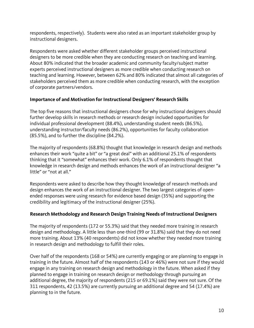respondents, respectively). Students were also rated as an important stakeholder group by instructional designers.

Respondents were asked whether different stakeholder groups perceived instructional designers to be more credible when they are conducting research on teaching and learning. About 80% indicated that the broader academic and community faculty/subject matter experts perceived instructional designers as more credible when conducting research on teaching and learning. However, between 62% and 80% indicated that almost all categories of stakeholders perceived them as more credible when conducting research, with the exception of corporate partners/vendors.

### **Importance of and Motivation for Instructional Designers' Research Skills**

The top five reasons that instructional designers chose for why instructional designers should further develop skills in research methods or research design included opportunities for individual professional development (88.4%), understanding student needs (86.5%), understanding instructor/faculty needs (86.2%), opportunities for faculty collaboration (85.5%), and to further the discipline (84.2%).

The majority of respondents (68.8%) thought that knowledge in research design and methods enhances their work "quite a bit" or "a great deal" with an additional 25.1% of respondents thinking that it "somewhat" enhances their work. Only 6.1% of respondents thought that knowledge in research design and methods enhances the work of an instructional designer "a little" or "not at all."

Respondents were asked to describe how they thought knowledge of research methods and design enhances the work of an instructional designer. The two largest categories of openended responses were using research for evidence based design (35%) and supporting the credibility and legitimacy of the instructional designer (25%).

# **Research Methodology and Research Design Training Needs of Instructional Designers**

The majority of respondents (172 or 55.3%) said that they needed more training in research design and methodology. A little less than one-third (99 or 31.8%) said that they do not need more training. About 13% (40 respondents) did not know whether they needed more training in research design and methodology to fulfill their roles.

Over half of the respondents (168 or 54%) are currently engaging or are planning to engage in training in the future. Almost half of the respondents (143 or 46%) were not sure if they would engage in any training on research design and methodology in the future. When asked if they planned to engage in training on research design or methodology through pursuing an additional degree, the majority of respondents (215 or 69.1%) said they were not sure. Of the 311 respondents, 42 (13.5%) are currently pursuing an additional degree and 54 (17.4%) are planning to in the future.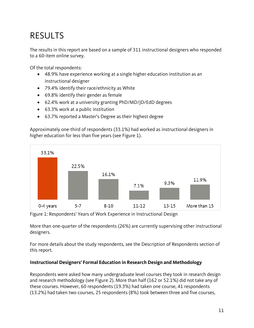# RESULTS

The results in this report are based on a sample of 311 instructional designers who responded to a 60-item online survey.

Of the total respondents:

- 48.9% have experience working at a single higher education institution as an instructional designer
- 79.4% identify their race/ethnicity as White
- 69.8% identify their gender as female
- 62.4% work at a university granting PhD/MD/JD/EdD degrees
- 63.3% work at a public institution
- 63.7% reported a Master's Degree as their highest degree

Approximately one-third of respondents (33.1%) had worked as instructional designers in higher education for less than five years (see Figure 1).



Figure 1: Respondents' Years of Work Experience in Instructional Design

More than one-quarter of the respondents (26%) are currently supervising other instructional designers.

For more details about the study respondents, see the Description of Respondents section of this report.

#### **Instructional Designers' Formal Education in Research Design and Methodology**

Respondents were asked how many undergraduate level courses they took in research design and research methodology (see Figure 2). More than half (162 or 52.1%) did not take any of these courses. However, 60 respondents (19.3%) had taken one course, 41 respondents (13.2%) had taken two courses, 25 respondents (8%) took between three and five courses,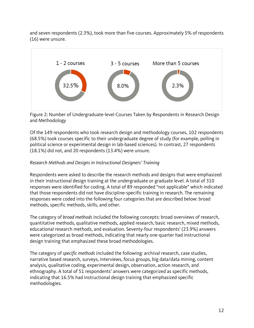and seven respondents (2.3%), took more than five courses. Approximately 5% of respondents (16) were unsure.



Figure 2: Number of Undergraduate-level Courses Taken by Respondents in Research Design and Methodology

Of the 149 respondents who took research design and methodology courses, 102 respondents (68.5%) took courses specific to their undergraduate degree of study (for example, polling in political science or experimental design in lab-based sciences). In contrast, 27 respondents (18.1%) did not, and 20 respondents (13.4%) were unsure.

# *Research Methods and Designs in Instructional Designers' Training*

Respondents were asked to describe the research methods and designs that were emphasized in their instructional design training at the undergraduate or graduate level. A total of 310 responses were identified for coding. A total of 89 responded "not applicable" which indicated that those respondents did not have discipline-specific training in research. The remaining responses were coded into the following four categories that are described below: broad methods, specific methods, skills, and other.

The category of *broad methods* included the following concepts: broad overviews of research, quantitative methods, qualitative methods, applied research, basic research, mixed methods, educational research methods, and evaluation. Seventy-four respondents' (23.9%) answers were categorized as broad methods, indicating that nearly one-quarter had instructional design training that emphasized these broad methodologies.

The category of *specific methods* included the following: archival research, case studies, narrative based research, surveys, interviews, focus groups, big data/data mining, content analysis, qualitative coding, experimental design, observation, action research, and ethnography. A total of 51 respondents' answers were categorized as specific methods, indicating that 16.5% had instructional design training that emphasized specific methodologies.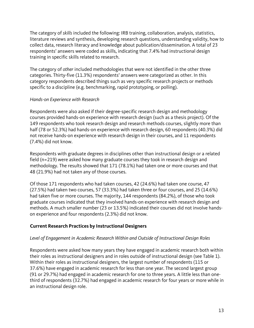The category of *skills* included the following: IRB training, collaboration, analysis, statistics, literature reviews and synthesis, developing research questions, understanding validity, how to collect data, research literacy and knowledge about publication/dissemination. A total of 23 respondents' answers were coded as skills, indicating that 7.4% had instructional design training in specific skills related to research.

The category of *other* included methodologies that were not identified in the other three categories. Thirty-five (11.3%) respondents' answers were categorized as other. In this category respondents described things such as very specific research projects or methods specific to a discipline (e.g. benchmarking, rapid prototyping, or polling).

#### *Hands-on Experience with Research*

Respondents were also asked if their degree-specific research design and methodology courses provided hands-on experience with research design (such as a thesis project). Of the 149 respondents who took research design and research methods courses, slightly more than half (78 or 52.3%) had hands-on experience with research design, 60 respondents (40.3%) did not receive hands-on experience with research design in their courses, and 11 respondents (7.4%) did not know.

Respondents with graduate degrees in disciplines other than instructional design or a related field (n=219) were asked how many graduate courses they took in research design and methodology. The results showed that 171 (78.1%) had taken one or more courses and that 48 (21.9%) had not taken any of those courses.

Of those 171 respondents who had taken courses, 42 (24.6%) had taken one course, 47 (27.5%) had taken two courses, 57 (33.3%) had taken three or four courses, and 25 (14.6%) had taken five or more courses. The majority, 144 respondents (84.2%), of those who took graduate courses indicated that they involved hands-on experience with research design and methods. A much smaller number (23 or 13.5%) indicated their courses did not involve handson experience and four respondents (2.3%) did not know.

# **Current Research Practices by Instructional Designers**

#### *Level of Engagement in Academic Research Within and Outside of Instructional Design Roles*

Respondents were asked how many years they have engaged in academic research both within their roles as instructional designers and in roles outside of instructional design (see Table 1). Within their roles as instructional designers, the largest number of respondents (115 or 37.6%) have engaged in academic research for less than one year. The second largest group (91 or 29.7%) had engaged in academic research for one to three years. A little less than onethird of respondents (32.7%) had engaged in academic research for four years or more while in an instructional design role.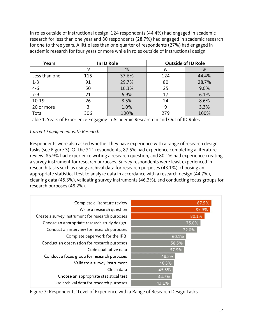In roles outside of instructional design, 124 respondents (44.4%) had engaged in academic research for less than one year and 80 respondents (28.7%) had engaged in academic research for one to three years. A little less than one-quarter of respondents (27%) had engaged in academic research for four years or more while in roles outside of instructional design.

| <b>Years</b>  |     | In ID Role |     | <b>Outside of ID Role</b> |
|---------------|-----|------------|-----|---------------------------|
|               | Ν   | %          | N   | %                         |
| Less than one | 115 | 37.6%      | 124 | 44.4%                     |
| $1 - 3$       | 91  | 29.7%      | 80  | 28.7%                     |
| $4 - 6$       | 50  | 16.3%      | 25  | 9.0%                      |
| $7 - 9$       | 21  | 6.9%       | 17  | 6.1%                      |
| $10 - 19$     | 26  | 8.5%       | 24  | 8.6%                      |
| 20 or more    |     | 1.0%       |     | 3.3%                      |
| Total         | 306 | 100%       | 279 | 100%                      |

Table 1: Years of Experience Engaging in Academic Research In and Out of ID Roles

#### *Current Engagement with Research*

Respondents were also asked whether they have experience with a range of research design tasks (see Figure 3). Of the 311 respondents, 87.5% had experience completing a literature review, 85.9% had experience writing a research question, and 80.1% had experience creating a survey instrument for research purposes. Survey respondents were least experienced in research tasks such as using archival data for research purposes (43.1%), choosing an appropriate statistical test to analyze data in accordance with a research design (44.7%), cleaning data (45.3%), validating survey instruments (46.3%), and conducting focus groups for research purposes (48.2%).

| Complete a literature review                     | 87.5% |
|--------------------------------------------------|-------|
| Write a research question                        | 85.9% |
| Create a survey instrument for research purposes | 80.1% |
| Choose an appropriate research study design      | 75.6% |
| Conduct an interview for research purposes       | 72.0% |
| Complete paperwork for the IRB                   | 60.1% |
| Conduct an observation for research purposes     | 58.5% |
| Code qualitative data                            | 57.9% |
| Conduct a focus group for research purposes      | 48.2% |
| Validate a survey instrument                     | 46.3% |
| Clean data                                       | 45.3% |
| Choose an appropriate statistical test           | 44.7% |
| Use archival data for research purposes          | 43.1% |

Figure 3: Respondents' Level of Experience with a Range of Research Design Tasks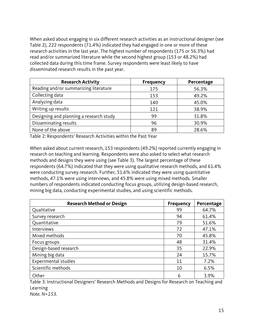When asked about engaging in six different research activities as an instructional designer (see Table 2), 222 respondents (71.4%) indicated they had engaged in one or more of these research activities in the last year. The highest number of respondents (175 or 56.3%) had read and/or summarized literature while the second highest group (153 or 48.2%) had collected data during this time frame. Survey respondents were least likely to have disseminated research results in the past year.

| <b>Research Activity</b>                | <b>Frequency</b> | Percentage |
|-----------------------------------------|------------------|------------|
| Reading and/or summarizing literature   | 175              | 56.3%      |
| Collecting data                         | 153              | 49.2%      |
| Analyzing data                          | 140              | 45.0%      |
| Writing up results                      | 121              | 38.9%      |
| Designing and planning a research study | 99               | 31.8%      |
| Disseminating results                   | 96               | 30.9%      |
| None of the above                       | 89               | 28.6%      |

Table 2: Respondents' Research Activities within the Past Year

When asked about current research, 153 respondents (49.2%) reported currently engaging in research on teaching and learning. Respondents were also asked to select what research methods and designs they were using (see Table 3). The largest percentage of these respondents (64.7%) indicated that they were using qualitative research methods, and 61.4% were conducting survey research. Further, 51.6% indicated they were using quantitative methods, 47.1% were using interviews, and 45.8% were using mixed methods. Smaller numbers of respondents indicated conducting focus groups, utilizing design-based research, mining big data, conducting experimental studies, and using scientific methods.

| <b>Research Method or Design</b> | <b>Frequency</b> | Percentage |
|----------------------------------|------------------|------------|
| Qualitative                      | 99               | 64.7%      |
| Survey research                  | 94               | 61.4%      |
| Quantitative                     | 79               | 51.6%      |
| Interviews                       | 72               | 47.1%      |
| Mixed methods                    | 70               | 45.8%      |
| Focus groups                     | 48               | 31.4%      |
| Design-based research            | 35               | 22.9%      |
| Mining big data                  | 24               | 15.7%      |
| <b>Experimental studies</b>      | 11               | 7.2%       |
| Scientific methods               | 10               | 6.5%       |
| Other                            | 6                | 3.9%       |

Table 3: Instructional Designers' Research Methods and Designs for Research on Teaching and Learning *Note. N=153.*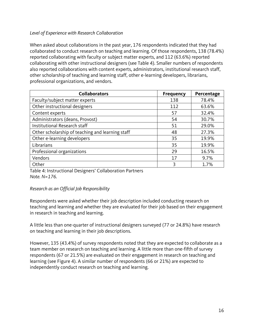### *Level of Experience with Research Collaboration*

When asked about collaborations in the past year, 176 respondents indicated that they had collaborated to conduct research on teaching and learning. Of those respondents, 138 (78.4%) reported collaborating with faculty or subject matter experts, and 112 (63.6%) reported collaborating with other instructional designers (see Table 4). Smaller numbers of respondents also reported collaborations with content experts, administrators, institutional research staff, other scholarship of teaching and learning staff, other e-learning developers, librarians, professional organizations, and vendors.

| <b>Collaborators</b>                             | <b>Frequency</b> | Percentage |
|--------------------------------------------------|------------------|------------|
| Faculty/subject matter experts                   | 138              | 78.4%      |
| Other instructional designers                    | 112              | 63.6%      |
| Content experts                                  | 57               | 32.4%      |
| Administrators (deans, Provost)                  | 54               | 30.7%      |
| Institutional Research staff                     | 51               | 29.0%      |
| Other scholarship of teaching and learning staff | 48               | 27.3%      |
| Other e-learning developers                      | 35               | 19.9%      |
| Librarians                                       | 35               | 19.9%      |
| Professional organizations                       | 29               | 16.5%      |
| Vendors                                          | 17               | 9.7%       |
| Other                                            | 3                | 1.7%       |

Table 4: Instructional Designers' Collaboration Partners *Note. N=176.* 

#### *Research as an Official Job Responsibility*

Respondents were asked whether their job description included conducting research on teaching and learning and whether they are evaluated for their job based on their engagement in research in teaching and learning.

A little less than one-quarter of instructional designers surveyed (77 or 24.8%) have research on teaching and learning in their job descriptions.

However, 135 (43.4%) of survey respondents noted that they are expected to collaborate as a team member on research on teaching and learning. A little more than one-fifth of survey respondents (67 or 21.5%) are evaluated on their engagement in research on teaching and learning (see Figure 4). A similar number of respondents (66 or 21%) are expected to independently conduct research on teaching and learning.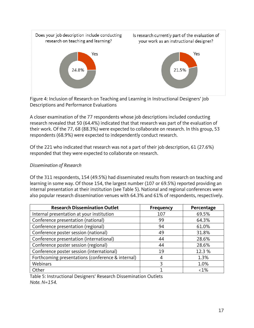

Figure 4: Inclusion of Research on Teaching and Learning in Instructional Designers' Job Descriptions and Performance Evaluations

A closer examination of the 77 respondents whose job descriptions included conducting research revealed that 50 (64.4%) indicated that that research was part of the evaluation of their work. Of the 77, 68 (88.3%) were expected to collaborate on research. In this group, 53 respondents (68.9%) were expected to independently conduct research.

Of the 221 who indicated that research was not a part of their job description, 61 (27.6%) responded that they were expected to collaborate on research.

### *Dissemination of Research*

Of the 311 respondents, 154 (49.5%) had disseminated results from research on teaching and learning in some way. Of those 154, the largest number (107 or 69.5%) reported providing an internal presentation at their institution (see Table 5). National and regional conferences were also popular research dissemination venues with 64.3% and 61% of respondents, respectively.

| <b>Research Dissemination Outlet</b>              | <b>Frequency</b> | Percentage    |
|---------------------------------------------------|------------------|---------------|
| Internal presentation at your institution         | 107              | 69.5%         |
| Conference presentation (national)                | 99               | 64.3%         |
| Conference presentation (regional)                | 94               | 61.0%         |
| Conference poster session (national)              | 49               | 31.8%         |
| Conference presentation (international)           | 44               | 28.6%         |
| Conference poster session (regional)              | 44               | 28.6%         |
| Conference poster session (international)         | 19               | 12.3 %        |
| Forthcoming presentations (conference & internal) | 4                | 1.3%          |
| Webinars                                          | 3                | 1.0%          |
| Other                                             |                  | $\langle 1\%$ |

Table 5: Instructional Designers' Research Dissemination Outlets *Note. N=154.*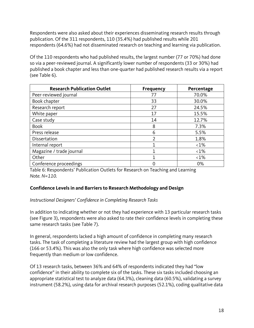Respondents were also asked about their experiences disseminating research results through publication. Of the 311 respondents, 110 (35.4%) had published results while 201 respondents (64.6%) had not disseminated research on teaching and learning via publication.

Of the 110 respondents who had published results, the largest number (77 or 70%) had done so via a peer-reviewed journal. A significantly lower number of respondents (33 or 30%) had published a book chapter and less than one-quarter had published research results via a report (see Table 6).

| <b>Research Publication Outlet</b> | <b>Frequency</b> | Percentage    |
|------------------------------------|------------------|---------------|
| Peer-reviewed journal              | 77               | 70.0%         |
| Book chapter                       | 33               | 30.0%         |
| Research report                    | 27               | 24.5%         |
| White paper                        | 17               | 15.5%         |
| Case study                         | 14               | 12.7%         |
| <b>Book</b>                        | 8                | 7.3%          |
| Press release                      | 6                | 5.5%          |
| Dissertation                       | $\overline{2}$   | 1.8%          |
| Internal report                    |                  | $\langle 1\%$ |
| Magazine / trade journal           |                  | $\langle 1\%$ |
| Other                              |                  | $\langle 1\%$ |
| Conference proceedings             |                  | 0%            |

Table 6: Respondents' Publication Outlets for Research on Teaching and Learning *Note. N=110.*

# **Confidence Levels in and Barriers to Research Methodology and Design**

#### *Instructional Designers' Confidence in Completing Research Tasks*

In addition to indicating whether or not they had experience with 13 particular research tasks (see Figure 3), respondents were also asked to rate their confidence levels in completing these same research tasks (see Table 7).

In general, respondents lacked a high amount of confidence in completing many research tasks. The task of completing a literature review had the largest group with high confidence (166 or 53.4%). This was also the only task where high confidence was selected more frequently than medium or low confidence.

Of 13 research tasks, between 36% and 64% of respondents indicated they had "low confidence" in their ability to complete six of the tasks. These six tasks included choosing an appropriate statistical test to analyze data (64.3%), cleaning data (60.5%), validating a survey instrument (58.2%), using data for archival research purposes (52.1%), coding qualitative data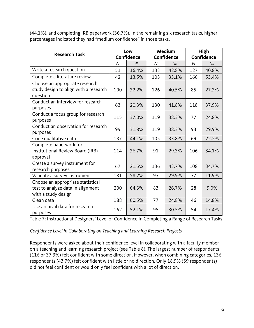(44.1%), and completing IRB paperwork (36.7%). In the remaining six research tasks, higher percentages indicated they had "medium confidence" in those tasks.

| <b>Research Task</b>                              | Low        |       | Medium         |       | High           |       |
|---------------------------------------------------|------------|-------|----------------|-------|----------------|-------|
|                                                   | Confidence |       | Confidence     |       | Confidence     |       |
|                                                   | N          | %     | $\overline{N}$ | %     | $\overline{N}$ | %     |
| Write a research question                         | 51         | 16.4% | 133            | 42.8% | 127            | 40.8% |
| Complete a literature review                      | 42         | 13.5% | 103            | 33.1% | 166            | 53.4% |
| Choose an appropriate research                    |            |       |                |       |                |       |
| study design to align with a research<br>question | 100        | 32.2% | 126            | 40.5% | 85             | 27.3% |
| Conduct an interview for research                 | 63         | 20.3% | 130            | 41.8% | 118            | 37.9% |
| purposes                                          |            |       |                |       |                |       |
| Conduct a focus group for research                | 115        | 37.0% | 119            | 38.3% | 77             | 24.8% |
| purposes                                          |            |       |                |       |                |       |
| Conduct an observation for research               | 99         | 31.8% | 119            | 38.3% | 93             | 29.9% |
| purposes                                          |            |       |                |       |                |       |
| Code qualitative data                             | 137        | 44.1% | 105            | 33.8% | 69             | 22.2% |
| Complete paperwork for                            |            |       |                |       |                |       |
| Institutional Review Board (IRB)                  | 114        | 36.7% | 91             | 29.3% | 106            | 34.1% |
| approval                                          |            |       |                |       |                |       |
| Create a survey instrument for                    | 67         | 21.5% | 136            | 43.7% | 108            | 34.7% |
| research purposes                                 |            |       |                |       |                |       |
| Validate a survey instrument                      | 181        | 58.2% | 93             | 29.9% | 37             | 11.9% |
| Choose an appropriate statistical                 |            |       |                |       |                |       |
| test to analyze data in alignment                 | 200        | 64.3% | 83             | 26.7% | 28             | 9.0%  |
| with a study design                               |            |       |                |       |                |       |
| Clean data                                        | 188        | 60.5% | 77             | 24.8% | 46             | 14.8% |
| Use archival data for research                    | 162        | 52.1% | 95             | 30.5% | 54             | 17.4% |
| purposes                                          |            |       |                |       |                |       |

Table 7: Instructional Designers' Level of Confidence in Completing a Range of Research Tasks

#### *Confidence Level in Collaborating on Teaching and Learning Research Projects*

Respondents were asked about their confidence level in collaborating with a faculty member on a teaching and learning research project (see Table 8). The largest number of respondents (116 or 37.3%) felt confident with some direction. However, when combining categories, 136 respondents (43.7%) felt confident with little or no direction. Only 18.9% (59 respondents) did not feel confident or would only feel confident with a lot of direction.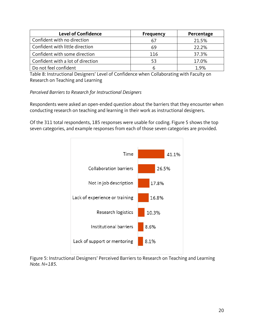| <b>Level of Confidence</b>        | <b>Frequency</b> | Percentage |
|-----------------------------------|------------------|------------|
| Confident with no direction       |                  | 21.5%      |
| Confident with little direction   | 69               | 22.2%      |
| Confident with some direction     | 116              | 37.3%      |
| Confident with a lot of direction | 53               | 17.0%      |
| Do not feel confident             | h                | 1.9%       |

Table 8: Instructional Designers' Level of Confidence when Collaborating with Faculty on Research on Teaching and Learning

*Perceived Barriers to Research for Instructional Designers*

Respondents were asked an open-ended question about the barriers that they encounter when conducting research on teaching and learning in their work as instructional designers.

Of the 311 total respondents, 185 responses were usable for coding. Figure 5 shows the top seven categories, and example responses from each of those seven categories are provided.



Figure 5: Instructional Designers' Perceived Barriers to Research on Teaching and Learning *Note. N=185.*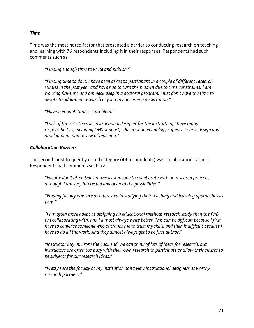#### *Time*

Time was the most noted factor that presented a barrier to conducting research on teaching and learning with 76 respondents including it in their responses. Respondents had such comments such as:

*"Finding enough time to write and publish."*

*"Finding time to do it. I have been asked to participant in a couple of different research studies in the past year and have had to turn them down due to time constraints. I am working full-time and am neck deep in a doctoral program. I just don't have the time to devote to additional research beyond my upcoming dissertation."*

*"Having enough time is a problem."*

*"Lack of time. As the sole instructional designer for the institution, I have many responsibilities, including LMS support, educational technology support, course design and development, and review of teaching."*

#### *Collaboration Barriers*

The second most frequently noted category (49 respondents) was collaboration barriers. Respondents had comments such as:

*"Faculty don't often think of me as someone to collaborate with on research projects, although I am very interested and open to the possibilities."*

*"Finding faculty who are as interested in studying their teaching and learning approaches as I am."*

*"I am often more adept at designing an educational methods research study than the PhD I'm collaborating with, and I almost always write better. This can be difficult because I first have to convince someone who outranks me to trust my skills, and then is difficult because I have to do all the work. And they almost always get to be first author."*

*"Instructor buy in: From the back end, we can think of lots of ideas for research, but instructors are often too busy with their own research to participate or allow their classes to be subjects for our research ideas."*

*"Pretty sure the faculty at my institution don't view instructional designers as worthy research partners."*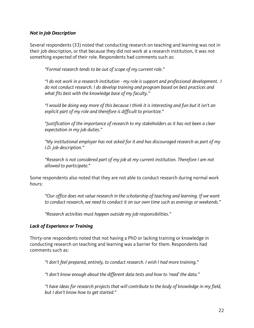#### *Not in Job Description*

Several respondents (33) noted that conducting research on teaching and learning was not in their job description, or that because they did not work at a research institution, it was not something expected of their role. Respondents had comments such as:

*"Formal research tends to be out of scope of my current role."*

*"I do not work in a research institution - my role is support and professional development. I do not conduct research. I do develop training and program based on best practices and what fits best with the knowledge base of my faculty."*

*"I would be doing way more of this because I think it is interesting and fun but it isn't an explicit part of my role and therefore is difficult to prioritize."*

*"Justification of the importance of research to my stakeholders as it has not been a clear expectation in my job duties."*

*"My institutional employer has not asked for it and has discouraged research as part of my I.D. job description."*

*"Research is not considered part of my job at my current institution. Therefore I am not allowed to participate."*

Some respondents also noted that they are not able to conduct research during normal work hours:

*"Our office does not value research in the scholarship of teaching and learning. If we want to conduct research, we need to conduct it on our own time such as evenings or weekends."*

*"Research activities must happen outside my job responsibilities."*

#### *Lack of Experience or Training*

Thirty-one respondents noted that not having a PhD or lacking training or knowledge in conducting research on teaching and learning was a barrier for them. Respondents had comments such as:

*"I don't feel prepared, entirely, to conduct research. I wish I had more training."*

*"I don't know enough about the different data tests and how to 'read' the data."*

*"I have ideas for research projects that will contribute to the body of knowledge in my field, but I don't know how to get started."*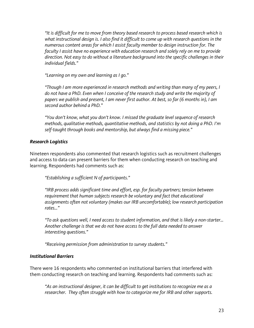*"It is difficult for me to move from theory based research to process based research which is what instructional design is. I also find it difficult to come up with research questions in the numerous content areas for which I assist faculty member to design instruction for. The faculty I assist have no experience with education research and solely rely on me to provide direction. Not easy to do without a literature background into the specific challenges in their individual fields."*

*"Learning on my own and learning as I go."*

*"Though I am more experienced in research methods and writing than many of my peers, I do not have a PhD. Even when I conceive of the research study and write the majority of papers we publish and present, I am never first author. At best, so far (6 months in), I am second author behind a PhD."*

*"You don't know, what you don't know. I missed the graduate level sequence of research methods, qualitative methods, quantitative methods, and statistics by not doing a PhD. I'm self-taught through books and mentorship, but always find a missing piece."*

### *Research Logistics*

Nineteen respondents also commented that research logistics such as recruitment challenges and access to data can present barriers for them when conducting research on teaching and learning. Respondents had comments such as:

*"Establishing a sufficient N of participants."*

*"IRB process adds significant time and effort, esp. for faculty partners; tension between requirement that human subjects research be voluntary and fact that educational assignments often not voluntary (makes our IRB uncomfortable); low research participation rates…"*

*"To ask questions well, I need access to student information, and that is likely a non-starter… Another challenge is that we do not have access to the full data needed to answer interesting questions."*

*"Receiving permission from administration to survey students."*

#### *Institutional Barriers*

There were 16 respondents who commented on institutional barriers that interfered with them conducting research on teaching and learning. Respondents had comments such as:

*"As an instructional designer, it can be difficult to get institutions to recognize me as a researcher. They often struggle with how to categorize me for IRB and other supports.*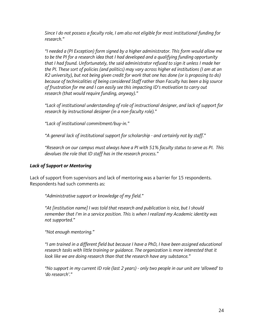*Since I do not possess a faculty role, I am also not eligible for most institutional funding for research."*

*"I needed a (PI Exception) form signed by a higher administrator. This form would allow me to be the PI for a research idea that I had developed and a qualifying funding opportunity that I had found. Unfortunately, the said administrator refused to sign it unless I made her the PI. These sort of policies (and politics) may vary across higher ed institutions (I am at an R2 university), but not being given credit for work that one has done (or is proposing to do) because of technicalities of being considered Staff rather than Faculty has been a big source of frustration for me and I can easily see this impacting ID's motivation to carry out research (that would require funding, anyway)."*

*"Lack of institutional understanding of role of instructional designer, and lack of support for research by instructional designer (in a non-faculty role)."*

*"Lack of institutional commitment/buy-in."*

*"A general lack of institutional support for scholarship - and certainly not by staff."*

*"Research on our campus must always have a PI with 51% faculty status to serve as PI. This devalues the role that ID staff has in the research process."*

#### *Lack of Support or Mentoring*

Lack of support from supervisors and lack of mentoring was a barrier for 15 respondents. Respondents had such comments as:

*"Administrative support or knowledge of my field."*

*"At [institution name] I was told that research and publication is nice, but I should remember that I'm in a service position. This is when I realized my Academic identity was not supported."*

*"Not enough mentoring."*

*"I am trained in a different field but because I have a PhD, I have been assigned educational*  research tasks with little training or guidance. The organization is more interested that it *look like we are doing research than that the research have any substance."*

*"No support in my current ID role (last 2 years) - only two people in our unit are 'allowed' to 'do research'."*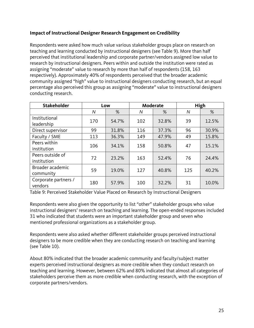### **Impact of Instructional Designer Research Engagement on Credibility**

Respondents were asked how much value various stakeholder groups place on research on teaching and learning conducted by instructional designers (see Table 9). More than half perceived that institutional leadership and corporate partner/vendors assigned low value to research by instructional designers. Peers within and outside the institution were rated as assigning "moderate" value to research by more than half of respondents (158, 163 respectively). Approximately 40% of respondents perceived that the broader academic community assigned "high" value to instructional designers conducting research, but an equal percentage also perceived this group as assigning "moderate" value to instructional designers conducting research.

| <b>Stakeholder</b>              |     | Low   | Moderate |       | High |       |
|---------------------------------|-----|-------|----------|-------|------|-------|
|                                 | N   | %     | N        | %     | N    | %     |
| Institutional<br>leadership     | 170 | 54.7% | 102      | 32.8% | 39   | 12.5% |
| Direct supervisor               | 99  | 31.8% | 116      | 37.3% | 96   | 30.9% |
| Faculty / SME                   | 113 | 36.3% | 149      | 47.9% | 49   | 15.8% |
| Peers within<br>institution     | 106 | 34.1% | 158      | 50.8% | 47   | 15.1% |
| Peers outside of<br>institution | 72  | 23.2% | 163      | 52.4% | 76   | 24.4% |
| Broader academic<br>community   | 59  | 19.0% | 127      | 40.8% | 125  | 40.2% |
| Corporate partners /<br>vendors | 180 | 57.9% | 100      | 32.2% | 31   | 10.0% |

Table 9: Perceived Stakeholder Value Placed on Research by Instructional Designers

Respondents were also given the opportunity to list "other" stakeholder groups who value instructional designers' research on teaching and learning. The open-ended responses included 31 who indicated that students were an important stakeholder group and seven who mentioned professional organizations as a stakeholder group.

Respondents were also asked whether different stakeholder groups perceived instructional designers to be more credible when they are conducting research on teaching and learning (see Table 10).

About 80% indicated that the broader academic community and faculty/subject matter experts perceived instructional designers as more credible when they conduct research on teaching and learning. However, between 62% and 80% indicated that almost all categories of stakeholders perceive them as more credible when conducting research, with the exception of corporate partners/vendors.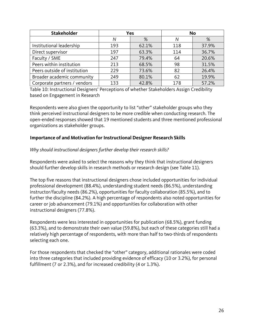| <b>Stakeholder</b>           | Yes |       | <b>No</b> |       |  |
|------------------------------|-----|-------|-----------|-------|--|
|                              | Ν   | %     | Ν         | %     |  |
| Institutional leadership     | 193 | 62.1% | 118       | 37.9% |  |
| Direct supervisor            | 197 | 63.3% | 114       | 36.7% |  |
| Faculty / SME                | 247 | 79.4% | 64        | 20.6% |  |
| Peers within institution     | 213 | 68.5% | 98        | 31.5% |  |
| Peers outside of institution | 229 | 73.6% | 82        | 26.4% |  |
| Broader academic community   | 249 | 80.1% | 62        | 19.9% |  |
| Corporate partners / vendors | 133 | 42.8% | 178       | 57.2% |  |

Table 10: Instructional Designers' Perceptions of whether Stakeholders Assign Credibility based on Engagement in Research

Respondents were also given the opportunity to list "other" stakeholder groups who they think perceived instructional designers to be more credible when conducting research. The open-ended responses showed that 19 mentioned students and three mentioned professional organizations as stakeholder groups.

#### **Importance of and Motivation for Instructional Designer Research Skills**

#### *Why should instructional designers further develop their research skills?*

Respondents were asked to select the reasons why they think that instructional designers should further develop skills in research methods or research design (see Table 11).

The top five reasons that instructional designers chose included opportunities for individual professional development (88.4%), understanding student needs (86.5%), understanding instructor/faculty needs (86.2%), opportunities for faculty collaboration (85.5%), and to further the discipline (84.2%). A high percentage of respondents also noted opportunities for career or job advancement (79.1%) and opportunities for collaboration with other instructional designers (77.8%).

Respondents were less interested in opportunities for publication (68.5%), grant funding (63.3%), and to demonstrate their own value (59.8%), but each of these categories still had a relatively high percentage of respondents, with more than half to two-thirds of respondents selecting each one.

For those respondents that checked the "other" category, additional rationales were coded into three categories that included providing evidence of efficacy (10 or 3.2%), for personal fulfillment (7 or 2.3%), and for increased credibility (4 or 1.3%).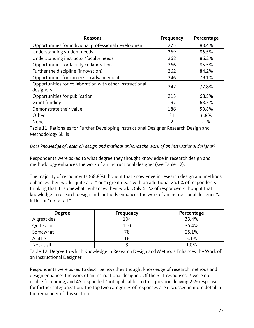| <b>Reasons</b>                                                        | <b>Frequency</b> | Percentage    |
|-----------------------------------------------------------------------|------------------|---------------|
| Opportunities for individual professional development                 | 275              | 88.4%         |
| Understanding student needs                                           | 269              | 86.5%         |
| Understanding instructor/faculty needs                                | 268              | 86.2%         |
| Opportunities for faculty collaboration                               | 266              | 85.5%         |
| Further the discipline (innovation)                                   | 262              | 84.2%         |
| Opportunities for career/job advancement                              | 246              | 79.1%         |
| Opportunities for collaboration with other instructional<br>designers | 242              | 77.8%         |
| Opportunities for publication                                         | 213              | 68.5%         |
| Grant funding                                                         | 197              | 63.3%         |
| Demonstrate their value                                               | 186              | 59.8%         |
| Other                                                                 | 21               | 6.8%          |
| None                                                                  | 2                | $\langle 1\%$ |

Table 11: Rationales for Further Developing Instructional Designer Research Design and Methodology Skills

#### *Does knowledge of research design and methods enhance the work of an instructional designer?*

Respondents were asked to what degree they thought knowledge in research design and methodology enhances the work of an instructional designer (see Table 12).

The majority of respondents (68.8%) thought that knowledge in research design and methods enhances their work "quite a bit" or "a great deal" with an additional 25.1% of respondents thinking that it "somewhat" enhances their work. Only 6.1% of respondents thought that knowledge in research design and methods enhances the work of an instructional designer "a little" or "not at all."

| <b>Degree</b> | <b>Frequency</b> | Percentage |
|---------------|------------------|------------|
| A great deal  | 104              | 33.4%      |
| Quite a bit   | 110              | 35.4%      |
| Somewhat      | 78               | 25.1%      |
| A little      | 16               | 5.1%       |
| Not at all    |                  | 1.0%       |

Table 12: Degree to which Knowledge in Research Design and Methods Enhances the Work of an Instructional Designer

Respondents were asked to describe how they thought knowledge of research methods and design enhances the work of an instructional designer. Of the 311 responses, 7 were not usable for coding, and 45 responded "not applicable" to this question, leaving 259 responses for further categorization. The top two categories of responses are discussed in more detail in the remainder of this section.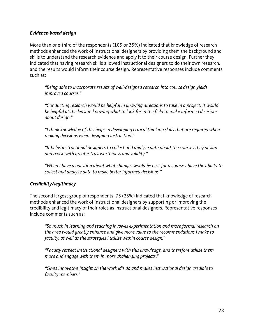#### *Evidence-based design*

More than one-third of the respondents (105 or 35%) indicated that knowledge of research methods enhanced the work of instructional designers by providing them the background and skills to understand the research evidence and apply it to their course design. Further they indicated that having research skills allowed instructional designers to do their own research, and the results would inform their course design. Representative responses include comments such as:

*"Being able to incorporate results of well-designed research into course design yields improved courses."*

*"Conducting research would be helpful in knowing directions to take in a project. It would be helpful at the least in knowing what to look for in the field to make informed decisions about design."*

*"I think knowledge of this helps in developing critical thinking skills that are required when making decisions when designing instruction."*

*"It helps instructional designers to collect and analyze data about the courses they design and revise with greater trustworthiness and validity."*

*"When I have a question about what changes would be best for a course I have the ability to collect and analyze data to make better informed decisions."*

#### *Credibility/legitimacy*

The second largest group of respondents, 75 (25%) indicated that knowledge of research methods enhanced the work of instructional designers by supporting or improving the credibility and legitimacy of their roles as instructional designers. Representative responses include comments such as:

*"So much in learning and teaching involves experimentation and more formal research on the area would greatly enhance and give more value to the recommendations I make to faculty, as well as the strategies I utilize within course design."*

*"Faculty respect instructional designers with this knowledge, and therefore utilize them more and engage with them in more challenging projects*.*"*

*"Gives innovative insight on the work id's do and makes instructional design credible to faculty members."*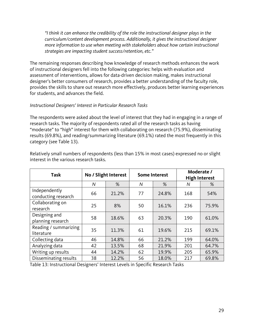*"I think it can enhance the credibility of the role the instructional designer plays in the curriculum/content development process. Additionally, it gives the instructional designer more information to use when meeting with stakeholders about how certain instructional strategies are impacting student success/retention, etc."*

The remaining responses describing how knowledge of research methods enhances the work of instructional designers fell into the following categories: helps with evaluation and assessment of interventions, allows for data-driven decision making, makes instructional designer's better consumers of research, provides a better understanding of the faculty role, provides the skills to share out research more effectively, produces better learning experiences for students, and advances the field.

#### *Instructional Designers' Interest in Particular Research Tasks*

The respondents were asked about the level of interest that they had in engaging in a range of research tasks. The majority of respondents rated all of the research tasks as having "moderate" to "high" interest for them with collaborating on research (75.9%), disseminating results (69.8%), and reading/summarizing literature (69.1%) rated the most frequently in this category (see Table 13).

| <b>Task</b>                          | No / Slight Interest |       |    | <b>Some Interest</b> |     | Moderate /<br><b>High Interest</b> |  |
|--------------------------------------|----------------------|-------|----|----------------------|-----|------------------------------------|--|
|                                      | N                    | %     | N  | %                    | Ν   | %                                  |  |
| Independently<br>conducting research | 66                   | 21.2% | 77 | 24.8%                | 168 | 54%                                |  |
| Collaborating on<br>research         | 25                   | 8%    | 50 | 16.1%                | 236 | 75.9%                              |  |
| Designing and<br>planning research   | 58                   | 18.6% | 63 | 20.3%                | 190 | 61.0%                              |  |
| Reading / summarizing<br>literature  | 35                   | 11.3% | 61 | 19.6%                | 215 | 69.1%                              |  |
| Collecting data                      | 46                   | 14.8% | 66 | 21.2%                | 199 | 64.0%                              |  |
| Analyzing data                       | 42                   | 13.5% | 68 | 21.9%                | 201 | 64.7%                              |  |
| Writing up results                   | 44                   | 14.2% | 62 | 19.9%                | 205 | 65.9%                              |  |
| Disseminating results                | 38                   | 12.2% | 56 | 18.0%                | 217 | 69.8%                              |  |

Relatively small numbers of respondents (less than 15% in most cases) expressed no or slight interest in the various research tasks.

Table 13: Instructional Designers' Interest Levels in Specific Research Tasks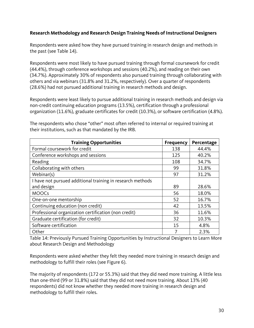### **Research Methodology and Research Design Training Needs of Instructional Designers**

Respondents were asked how they have pursued training in research design and methods in the past (see Table 14).

Respondents were most likely to have pursued training through formal coursework for credit (44.4%), through conference workshops and sessions (40.2%), and reading on their own (34.7%). Approximately 30% of respondents also pursued training through collaborating with others and via webinars (31.8% and 31.2%, respectively). Over a quarter of respondents (28.6%) had not pursued additional training in research methods and design.

Respondents were least likely to pursue additional training in research methods and design via non-credit continuing education programs (13.5%), certification through a professional organization (11.6%), graduate certificates for credit (10.3%), or software certification (4.8%).

| <b>Training Opportunities</b>                              | <b>Frequency</b> | Percentage |
|------------------------------------------------------------|------------------|------------|
| Formal coursework for credit                               | 138              | 44.4%      |
| Conference workshops and sessions                          | 125              | 40.2%      |
| Reading                                                    | 108              | 34.7%      |
| Collaborating with others                                  | 99               | 31.8%      |
| Webinar(s)                                                 | 97               | 31.2%      |
| I have not pursued additional training in research methods |                  |            |
| and design                                                 | 89               | 28.6%      |
| <b>MOOCs</b>                                               | 56               | 18.0%      |
| One-on-one mentorship                                      | 52               | 16.7%      |
| Continuing education (non credit)                          | 42               | 13.5%      |
| Professional organization certification (non credit)       | 36               | 11.6%      |
| Graduate certification (for credit)                        | 32               | 10.3%      |
| Software certification                                     | 15               | 4.8%       |
| Other                                                      | 7                | 2.3%       |

The respondents who chose "other" most often referred to internal or required training at their institutions, such as that mandated by the IRB.

Table 14: Previously Pursued Training Opportunities by Instructional Designers to Learn More about Research Design and Methodology

Respondents were asked whether they felt they needed more training in research design and methodology to fulfill their roles (see Figure 6).

The majority of respondents (172 or 55.3%) said that they did need more training. A little less than one-third (99 or 31.8%) said that they did not need more training. About 13% (40 respondents) did not know whether they needed more training in research design and methodology to fulfill their roles.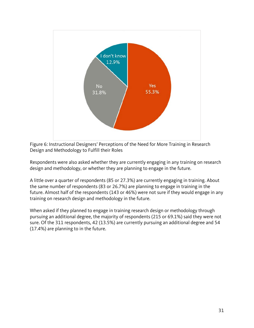

Figure 6: Instructional Designers' Perceptions of the Need for More Training in Research Design and Methodology to Fulfill their Roles

Respondents were also asked whether they are currently engaging in any training on research design and methodology, or whether they are planning to engage in the future.

A little over a quarter of respondents (85 or 27.3%) are currently engaging in training. About the same number of respondents (83 or 26.7%) are planning to engage in training in the future. Almost half of the respondents (143 or 46%) were not sure if they would engage in any training on research design and methodology in the future.

When asked if they planned to engage in training research design or methodology through pursuing an additional degree, the majority of respondents (215 or 69.1%) said they were not sure. Of the 311 respondents, 42 (13.5%) are currently pursuing an additional degree and 54 (17.4%) are planning to in the future.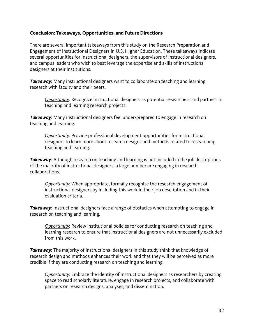#### **Conclusion: Takeaways, Opportunities, and Future Directions**

There are several important takeaways from this study on the Research Preparation and Engagement of Instructional Designers in U.S. Higher Education. These takeaways indicate several opportunities for instructional designers, the supervisors of instructional designers, and campus leaders who wish to best leverage the expertise and skills of instructional designers at their institutions.

*Takeaway*: Many instructional designers want to collaborate on teaching and learning research with faculty and their peers.

*Opportunity*: Recognize instructional designers as potential researchers and partners in teaching and learning research projects.

*Takeaway*: Many instructional designers feel under-prepared to engage in research on teaching and learning.

*Opportunity*: Provide professional development opportunities for instructional designers to learn more about research designs and methods related to researching teaching and learning.

**Takeaway:** Although research on teaching and learning is not included in the job descriptions of the majority of instructional designers, a large number are engaging in research collaborations.

*Opportunity*: When appropriate, formally recognize the research engagement of instructional designers by including this work in their job description and in their evaluation criteria.

*Takeaway*: Instructional designers face a range of obstacles when attempting to engage in research on teaching and learning.

*Opportunity*: Review institutional policies for conducting research on teaching and learning research to ensure that instructional designers are not unnecessarily excluded from this work.

**Takeaway:** The majority of instructional designers in this study think that knowledge of research design and methods enhances their work and that they will be perceived as more credible if they are conducting research on teaching and learning.

*Opportunity*: Embrace the identity of instructional designers as researchers by creating space to read scholarly literature, engage in research projects, and collaborate with partners on research designs, analyses, and dissemination.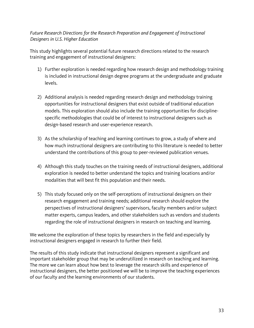### *Future Research Directions for the Research Preparation and Engagement of Instructional Designers in U.S. Higher Education*

This study highlights several potential future research directions related to the research training and engagement of instructional designers:

- 1) Further exploration is needed regarding how research design and methodology training is included in instructional design degree programs at the undergraduate and graduate levels.
- 2) Additional analysis is needed regarding research design and methodology training opportunities for instructional designers that exist outside of traditional education models. This exploration should also include the training opportunities for disciplinespecific methodologies that could be of interest to instructional designers such as design-based research and user-experience research.
- 3) As the scholarship of teaching and learning continues to grow, a study of where and how much instructional designers are contributing to this literature is needed to better understand the contributions of this group to peer-reviewed publication venues.
- 4) Although this study touches on the training needs of instructional designers, additional exploration is needed to better understand the topics and training locations and/or modalities that will best fit this population and their needs.
- 5) This study focused only on the self-perceptions of instructional designers on their research engagement and training needs; additional research should explore the perspectives of instructional designers' supervisors, faculty members and/or subject matter experts, campus leaders, and other stakeholders such as vendors and students regarding the role of instructional designers in research on teaching and learning.

We welcome the exploration of these topics by researchers in the field and especially by instructional designers engaged in research to further their field.

The results of this study indicate that instructional designers represent a significant and important stakeholder group that may be underutilized in research on teaching and learning. The more we can learn about how best to leverage the research skills and experience of instructional designers, the better positioned we will be to improve the teaching experiences of our faculty and the learning environments of our students.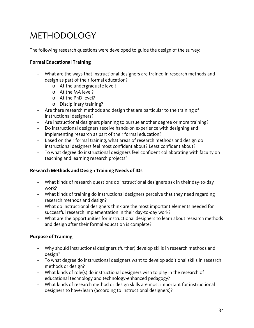# METHODOLOGY

The following research questions were developed to guide the design of the survey:

#### **Formal Educational Training**

- What are the ways that instructional designers are trained in research methods and design as part of their formal education?
	- o At the undergraduate level?
	- o At the MA level?
	- o At the PhD level?
	- o Disciplinary training?
- Are there research methods and design that are particular to the training of instructional designers?
- Are instructional designers planning to pursue another degree or more training?
- Do instructional designers receive hands-on experience with designing and implementing research as part of their formal education?
- Based on their formal training, what areas of research methods and design do instructional designers feel most confident about? Least confident about?
- To what degree do instructional designers feel confident collaborating with faculty on teaching and learning research projects?

#### **Research Methods and Design Training Needs of IDs**

- What kinds of research questions do instructional designers ask in their day-to-day work?
- What kinds of training do instructional designers perceive that they need regarding research methods and design?
- What do instructional designers think are the most important elements needed for successful research implementation in their day-to-day work?
- What are the opportunities for instructional designers to learn about research methods and design after their formal education is complete?

#### **Purpose of Training**

- Why should instructional designers (further) develop skills in research methods and design?
- To what degree do instructional designers want to develop additional skills in research methods or design?
- What kinds of role(s) do instructional designers wish to play in the research of educational technology and technology-enhanced pedagogy?
- What kinds of research method or design skills are most important for instructional designers to have/learn (according to instructional designers)?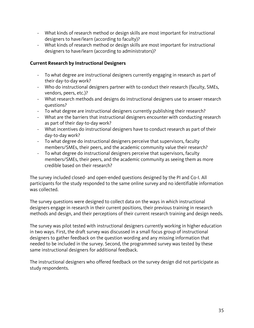- What kinds of research method or design skills are most important for instructional designers to have/learn (according to faculty)?
- What kinds of research method or design skills are most important for instructional designers to have/learn (according to administrators)?

#### **Current Research by Instructional Designers**

- To what degree are instructional designers currently engaging in research as part of their day-to-day work?
- Who do instructional designers partner with to conduct their research (faculty, SMEs, vendors, peers, etc.)?
- What research methods and designs do instructional designers use to answer research questions?
- To what degree are instructional designers currently publishing their research?
- What are the barriers that instructional designers encounter with conducting research as part of their day-to-day work?
- What incentives do instructional designers have to conduct research as part of their day-to-day work?
- To what degree do instructional designers perceive that supervisors, faculty members/SMEs, their peers, and the academic community value their research?
- To what degree do instructional designers perceive that supervisors, faculty members/SMEs, their peers, and the academic community as seeing them as more credible based on their research?

The survey included closed- and open-ended questions designed by the PI and Co-I. All participants for the study responded to the same online survey and no identifiable information was collected.

The survey questions were designed to collect data on the ways in which instructional designers engage in research in their current positions, their previous training in research methods and design, and their perceptions of their current research training and design needs.

The survey was pilot tested with instructional designers currently working in higher education in two ways. First, the draft survey was discussed in a small focus group of instructional designers to gather feedback on the question wording and any missing information that needed to be included in the survey. Second, the programmed survey was tested by these same instructional designers for additional feedback.

The instructional designers who offered feedback on the survey design did not participate as study respondents.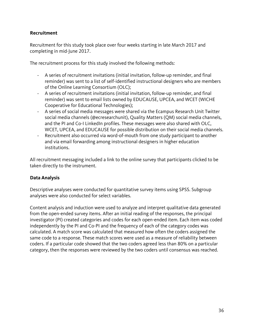#### **Recruitment**

Recruitment for this study took place over four weeks starting in late March 2017 and completing in mid-June 2017.

The recruitment process for this study involved the following methods:

- A series of recruitment invitations (initial invitation, follow-up reminder, and final reminder) was sent to a list of self-identified instructional designers who are members of the Online Learning Consortium (OLC);
- A series of recruitment invitations (initial invitation, follow-up reminder, and final reminder) was sent to email lists owned by EDUCAUSE, UPCEA, and WCET (WICHE Cooperative for Educational Technologies);
- A series of social media messages were shared via the Ecampus Research Unit Twitter social media channels (@ecresearchunit), Quality Matters (QM) social media channels, and the PI and Co-I LinkedIn profiles. These messages were also shared with OLC, WCET, UPCEA, and EDUCAUSE for possible distribution on their social media channels.
- Recruitment also occurred via word-of-mouth from one study participant to another and via email forwarding among instructional designers in higher education institutions.

All recruitment messaging included a link to the online survey that participants clicked to be taken directly to the instrument.

#### **Data Analysis**

Descriptive analyses were conducted for quantitative survey items using SPSS. Subgroup analyses were also conducted for select variables.

Content analysis and induction were used to analyze and interpret qualitative data generated from the open-ended survey items. After an initial reading of the responses, the principal investigator (PI) created categories and codes for each open-ended item. Each item was coded independently by the PI and Co-PI and the frequency of each of the category codes was calculated. A match score was calculated that measured how often the coders assigned the same code to a response. These match scores were used as a measure of reliability between coders. If a particular code showed that the two coders agreed less than 80% on a particular category, then the responses were reviewed by the two coders until consensus was reached.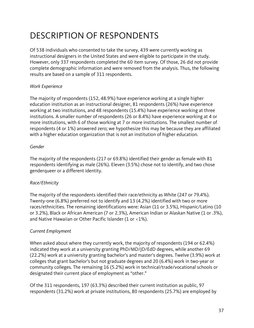# DESCRIPTION OF RESPONDENTS

Of 538 individuals who consented to take the survey, 439 were currently working as instructional designers in the United States and were eligible to participate in the study. However, only 337 respondents completed the 60 item survey. Of those, 26 did not provide complete demographic information and were removed from the analysis. Thus, the following results are based on a sample of 311 respondents.

# *Work Experience*

The majority of respondents (152, 48.9%) have experience working at a single higher education institution as an instructional designer, 81 respondents (26%) have experience working at two institutions, and 48 respondents (15.4%) have experience working at three institutions. A smaller number of respondents (26 or 8.4%) have experience working at 4 or more institutions, with 6 of those working at 7 or more institutions. The smallest number of respondents (4 or 1%) answered zero; we hypothesize this may be because they are affiliated with a higher education organization that is not an institution of higher education.

#### *Gender*

The majority of the respondents (217 or 69.8%) identified their gender as female with 81 respondents identifying as male (26%). Eleven (3.5%) chose not to identify, and two chose genderqueer or a different identity.

# *Race/Ethnicity*

The majority of the respondents identified their race/ethnicity as White (247 or 79.4%). Twenty-one (6.8%) preferred not to identify and 13 (4.2%) identified with two or more races/ethnicities. The remaining identifications were: Asian (11 or 3.5%), Hispanic/Latino (10 or 3.2%), Black or African American (7 or 2.3%), American Indian or Alaskan Native (1 or .3%), and Native Hawaiian or Other Pacific Islander (1 or <1%).

# *Current Employment*

When asked about where they currently work, the majority of respondents (194 or 62.4%) indicated they work at a university granting PhD/MD/JD/EdD degrees, while another 69 (22.2%) work at a university granting bachelor's and master's degrees. Twelve (3.9%) work at colleges that grant bachelor's but not graduate degrees and 20 (6.4%) work in two-year or community colleges. The remaining 16 (5.2%) work in technical/trade/vocational schools or designated their current place of employment as "other."

Of the 311 respondents, 197 (63.3%) described their current institution as public, 97 respondents (31.2%) work at private institutions, 80 respondents (25.7%) are employed by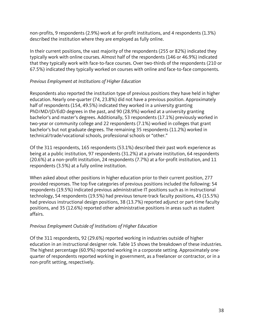non-profits, 9 respondents (2.9%) work at for-profit institutions, and 4 respondents (1.3%) described the institution where they are employed as fully online.

In their current positions, the vast majority of the respondents (255 or 82%) indicated they typically work with online courses. Almost half of the respondents (146 or 46.9%) indicated that they typically work with face-to-face courses. Over two-thirds of the respondents (210 or 67.5%) indicated they typically worked on courses with online and face-to-face components.

# *Previous Employment at Institutions of Higher Education*

Respondents also reported the institution type of previous positions they have held in higher education. Nearly one-quarter (74, 23.8%) did not have a previous position. Approximately half of respondents (154, 49.5%) indicated they worked in a university granting PhD/MD/JD/EdD degrees in the past, and 90 (28.9%) worked at a university granting bachelor's and master's degrees. Additionally, 53 respondents (17.1%) previously worked in two-year or community college and 22 respondents (7.1%) worked in colleges that grant bachelor's but not graduate degrees. The remaining 35 respondents (11.2%) worked in technical/trade/vocational schools, professional schools or "other."

Of the 311 respondents, 165 respondents (53.1%) described their past work experience as being at a public institution, 97 respondents (31.2%) at a private institution, 64 respondents (20.6%) at a non-profit institution, 24 respondents (7.7%) at a for-profit institution, and 11 respondents (3.5%) at a fully online institution.

When asked about other positions in higher education prior to their current position, 277 provided responses. The top five categories of previous positions included the following: 54 respondents (19.5%) indicated previous administrative IT positions such as in instructional technology, 54 respondents (19.5%) had previous tenure-track faculty positions, 43 (15.5%) had previous instructional design positions, 38 (13.7%) reported adjunct or part-time faculty positions, and 35 (12.6%) reported other administrative positions in areas such as student affairs.

# *Previous Employment Outside of Institutions of Higher Education*

Of the 311 respondents, 92 (29.6%) reported working in industries outside of higher education in an instructional designer role. Table 15 shows the breakdown of these industries. The highest percentage (60.9%) reported working in a corporate setting. Approximately onequarter of respondents reported working in government, as a freelancer or contractor, or in a non-profit setting, respectively.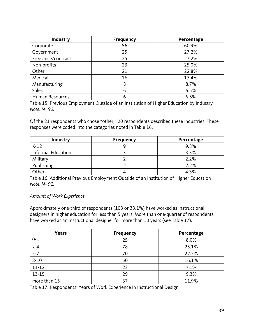| Industry               | <b>Frequency</b> | Percentage |
|------------------------|------------------|------------|
| Corporate              | 56               | 60.9%      |
| Government             | 25               | 27.2%      |
| Freelance/contract     | 25               | 27.2%      |
| Non-profits            | 23               | 25.0%      |
| Other                  | 21               | 22.8%      |
| Medical                | 16               | 17.4%      |
| Manufacturing          | 8                | 8.7%       |
| Sales                  | 6                | 6.5%       |
| <b>Human Resources</b> | 6                | 6.5%       |

Table 15: Previous Employment Outside of an Institution of Higher Education by Industry *Note. N=92.*

Of the 21 respondents who chose "other," 20 respondents described these industries. These responses were coded into the categories noted in Table 16.

| <b>Industry</b>    | <b>Frequency</b> | Percentage |
|--------------------|------------------|------------|
| $K-12$             |                  | 9.8%       |
| Informal Education |                  | 3.3%       |
| Military           |                  | 2.2%       |
| Publishing         |                  | 2.2%       |
| Other              |                  | 4.3%       |

Table 16: Additional Previous Employment Outside of an Institution of Higher Education *Note. N=92.* 

#### *Amount of Work Experience*

Approximately one-third of respondents (103 or 33.1%) have worked as instructional designers in higher education for less than 5 years. More than one-quarter of respondents have worked as an instructional designer for more than 10 years (see Table 17).

| <b>Years</b> | <b>Frequency</b> | Percentage |  |  |
|--------------|------------------|------------|--|--|
| $0 - 1$      | 25               | 8.0%       |  |  |
| $2 - 4$      | 78               | 25.1%      |  |  |
| $5 - 7$      | 70               | 22.5%      |  |  |
| $8 - 10$     | 50               | 16.1%      |  |  |
| $11 - 12$    | 22               | 7.1%       |  |  |
| $13 - 15$    | 29               | 9.3%       |  |  |
| more than 15 | 37               | 11.9%      |  |  |

Table 17: Respondents' Years of Work Experience in Instructional Design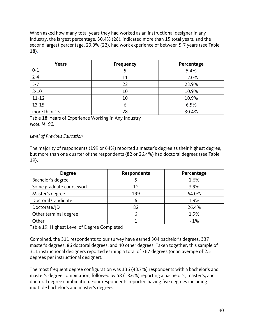When asked how many total years they had worked as an instructional designer in any industry, the largest percentage, 30.4% (28), indicated more than 15 total years, and the second largest percentage, 23.9% (22), had work experience of between 5-7 years (see Table 18).

| <b>Years</b> | <b>Frequency</b> | Percentage |
|--------------|------------------|------------|
| $0 - 1$      |                  | 5.4%       |
| $2 - 4$      | 11               | 12.0%      |
| $5 - 7$      | 22               | 23.9%      |
| $8 - 10$     | 10               | 10.9%      |
| $11 - 12$    | 10               | 10.9%      |
| $13 - 15$    | 6                | 6.5%       |
| more than 15 | 28               | 30.4%      |

Table 18: Years of Experience Working in Any Industry *Note. N=92.*

#### *Level of Previous Education*

The majority of respondents (199 or 64%) reported a master's degree as their highest degree, but more than one quarter of the respondents (82 or 26.4%) had doctoral degrees (see Table 19).

| <b>Degree</b>            | <b>Respondents</b> | Percentage    |
|--------------------------|--------------------|---------------|
| Bachelor's degree        |                    | 1.6%          |
| Some graduate coursework | 12                 | 3.9%          |
| Master's degree          | 199                | 64.0%         |
| Doctoral Candidate       | 6                  | 1.9%          |
| Doctorate/JD             | 82                 | 26.4%         |
| Other terminal degree    | 6                  | 1.9%          |
| Other                    |                    | $\langle 1\%$ |

Table 19: Highest Level of Degree Completed

Combined, the 311 respondents to our survey have earned 304 bachelor's degrees, 337 master's degrees, 86 doctoral degrees, and 40 other degrees. Taken together, this sample of 311 instructional designers reported earning a total of 767 degrees (or an average of 2.5 degrees per instructional designer).

The most frequent degree configuration was 136 (43.7%) respondents with a bachelor's and master's degree combination, followed by 58 (18.6%) reporting a bachelor's, master's, and doctoral degree combination. Four respondents reported having five degrees including multiple bachelor's and master's degrees.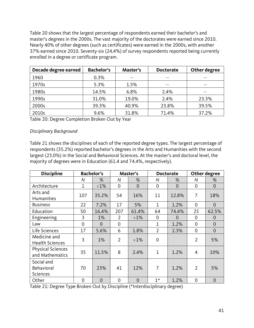Table 20 shows that the largest percentage of respondents earned their bachelor's and master's degrees in the 2000s. The vast majority of the doctorates were earned since 2010. Nearly 40% of other degrees (such as certificates) were earned in the 2000s, with another 37% earned since 2010. Seventy-six (24.4%) of survey respondents reported being currently enrolled in a degree or certificate program.

| Decade degree earned | <b>Bachelor's</b> | Master's | <b>Doctorate</b> | Other degree  |
|----------------------|-------------------|----------|------------------|---------------|
| 1960                 | 0.3%              | $ -$     |                  |               |
| 1970s                | 5.3%              | 1.5%     |                  | $- -$         |
| 1980s                | 14.5%             | 6.8%     | 2.4%             | $\sim$ $\sim$ |
| 1990s                | 31.0%             | 19.0%    | 2.4%             | 23.3%         |
| 2000s                | 39.3%             | 40.9%    | 23.8%            | 39.5%         |
| 2010s                | 9.6%              | 31.8%    | 71.4%            | 37.2%         |

Table 20: Degree Completion Broken Out by Year

#### *Disciplinary Background*

Table 21 shows the disciplines of each of the reported degree types. The largest percentage of respondents (35.2%) reported bachelor's degrees in the Arts and Humanities with the second largest (23.0%) in the Social and Behavioral Sciences. At the master's and doctoral level, the majority of degrees were in Education (61.4 and 74.4%, respectively).

| <b>Discipline</b>                           |                | <b>Bachelor's</b> |                | Master's<br><b>Doctorate</b> |                |                | Other degree   |                |
|---------------------------------------------|----------------|-------------------|----------------|------------------------------|----------------|----------------|----------------|----------------|
|                                             | N              | %                 | N              | %                            | N              | %              | Ν              | %              |
| Architecture                                | $\mathbf{1}$   | $\langle 1\%$     | $\overline{0}$ | $\overline{0}$               | $\overline{0}$ | $\overline{0}$ | 0              | $\overline{0}$ |
| Arts and<br><b>Humanities</b>               | 107            | 35.2%             | 54             | 16%                          | 11             | 12.8%          | 7              | 18%            |
| <b>Business</b>                             | 22             | 7.2%              | 17             | 5%                           | $\mathbf{1}$   | 1.2%           | $\overline{0}$ | $\overline{0}$ |
| Education                                   | 50             | 16.4%             | 207            | 61.4%                        | 64             | 74.4%          | 25             | 62.5%          |
| Engineering                                 | 3              | 1%                | $\overline{2}$ | $\langle 1\%$                | 0              | $\Omega$       | 0              | 0              |
| Law                                         | $\overline{0}$ | $\overline{0}$    | $\overline{0}$ |                              | 1              | 1.2%           | 0              | $\overline{0}$ |
| Life Sciences                               | 17             | 5.6%              | 6              | 1.8%                         | $\overline{2}$ | 2.3%           | $\overline{0}$ | $\overline{0}$ |
| Medicine and<br><b>Health Sciences</b>      | 3              | $1\%$             | $\overline{2}$ | $\langle 1\%$                | $\overline{0}$ |                | $\overline{2}$ | 5%             |
| <b>Physical Sciences</b><br>and Mathematics | 35             | 11.5%             | 8              | 2.4%                         | $\mathbf{1}$   | 1.2%           | 4              | 10%            |
| Social and<br>Behavioral<br><b>Sciences</b> | 70             | 23%               | 41             | 12%                          | 7              | 1.2%           | $\overline{2}$ | 5%             |
| Other                                       | $\mathbf 0$    | $\overline{0}$    | $\overline{0}$ | $\overline{0}$               | $1*$           | 1.2%           | 0              | $\overline{0}$ |

Table 21: Degree Type Broken Out by Discipline (\*Interdisciplinary degree)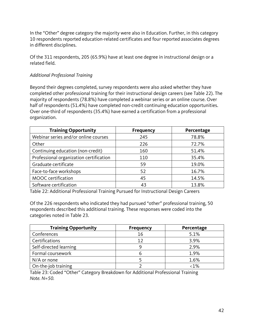In the "Other" degree category the majority were also in Education. Further, in this category 10 respondents reported education-related certificates and four reported associates degrees in different disciplines.

Of the 311 respondents, 205 (65.9%) have at least one degree in instructional design or a related field.

# *Additional Professional Training*

Beyond their degrees completed, survey respondents were also asked whether they have completed other professional training for their instructional design careers (see Table 22). The majority of respondents (78.8%) have completed a webinar series or an online course. Over half of respondents (51.4%) have completed non-credit continuing education opportunities. Over one-third of respondents (35.4%) have earned a certification from a professional organization.

| <b>Training Opportunity</b>             | <b>Frequency</b> | Percentage |
|-----------------------------------------|------------------|------------|
| Webinar series and/or online courses    | 245              | 78.8%      |
| Other                                   | 226              | 72.7%      |
| Continuing education (non-credit)       | 160              | 51.4%      |
| Professional organization certification | 110              | 35.4%      |
| Graduate certificate                    | 59               | 19.0%      |
| Face-to-face workshops                  | 52               | 16.7%      |
| MOOC certification                      | 45               | 14.5%      |
| Software certification                  | 43               | 13.8%      |

Table 22: Additional Professional Training Pursued for Instructional Design Careers

Of the 226 respondents who indicated they had pursued "other" professional training, 50 respondents described this additional training. These responses were coded into the categories noted in Table 23.

| <b>Training Opportunity</b> | <b>Frequency</b> | Percentage |
|-----------------------------|------------------|------------|
| Conferences                 | 16               | 5.1%       |
| Certifications              | 12               | 3.9%       |
| Self-directed learning      | 9                | 2.9%       |
| Formal coursework           | n                | 1.9%       |
| N/A or none                 |                  | 1.6%       |
| On-the-job training         |                  | $1\%$      |

Table 23: Coded "Other" Category Breakdown for Additional Professional Training *Note. N=50.*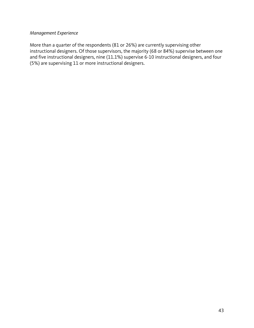# *Management Experience*

More than a quarter of the respondents (81 or 26%) are currently supervising other instructional designers. Of those supervisors, the majority (68 or 84%) supervise between one and five instructional designers, nine (11.1%) supervise 6-10 instructional designers, and four (5%) are supervising 11 or more instructional designers.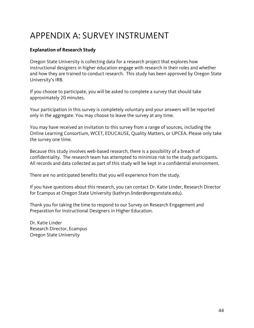# APPENDIX A: SURVEY INSTRUMENT

# **Explanation of Research Study**

Oregon State University is collecting data for a research project that explores how instructional designers in higher education engage with research in their roles and whether and how they are trained to conduct research. This study has been approved by Oregon State University's IRB.

If you choose to participate, you will be asked to complete a survey that should take approximately 20 minutes.

Your participation in this survey is completely voluntary and your answers will be reported only in the aggregate. You may choose to leave the survey at any time.

You may have received an invitation to this survey from a range of sources, including the Online Learning Consortium, WCET, EDUCAUSE, Quality Matters, or UPCEA. Please only take the survey one time.

Because this study involves web-based research, there is a possibility of a breach of confidentiality. The research team has attempted to minimize risk to the study participants. All records and data collected as part of this study will be kept in a confidential environment.

There are no anticipated benefits that you will experience from the study.

If you have questions about this research, you can contact Dr. Katie Linder, Research Director for Ecampus at Oregon State University (kathryn.linder@oregonstate.edu).

Thank you for taking the time to respond to our Survey on Research Engagement and Preparation for Instructional Designers in Higher Education.

Dr. Katie Linder Research Director, Ecampus Oregon State University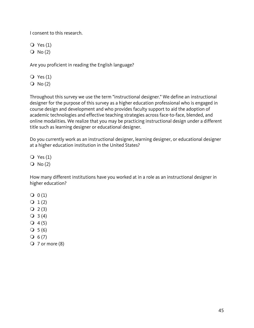I consent to this research.

 $Q$  Yes  $(1)$  $Q \text{No} (2)$ 

Are you proficient in reading the English language?

 $Q$  Yes  $(1)$ 

 $O No(2)$ 

Throughout this survey we use the term "instructional designer." We define an instructional designer for the purpose of this survey as a higher education professional who is engaged in course design and development and who provides faculty support to aid the adoption of academic technologies and effective teaching strategies across face-to-face, blended, and online modalities. We realize that you may be practicing instructional design under a different title such as learning designer or educational designer.

Do you currently work as an instructional designer, learning designer, or educational designer at a higher education institution in the United States?

 $Q$  Yes  $(1)$ 

 $Q \text{No} (2)$ 

How many different institutions have you worked at in a role as an instructional designer in higher education?

- $Q(1)$
- $Q_1(2)$
- $Q_2(3)$
- $Q_3(4)$
- $Q_4(5)$
- $O \ 5 (6)$
- $Q_{6}(7)$
- $\bigcirc$  7 or more (8)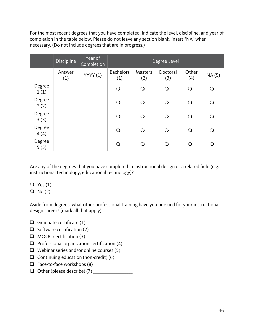For the most recent degrees that you have completed, indicate the level, discipline, and year of completion in the table below. Please do not leave any section blank, insert "NA" when necessary. (Do not include degrees that are in progress.)

|                | <b>Discipline</b> | Year of<br>Completion | Degree Level            |                |                 |              |            |
|----------------|-------------------|-----------------------|-------------------------|----------------|-----------------|--------------|------------|
|                | Answer<br>(1)     | <b>YYYY</b> (1)       | <b>Bachelors</b><br>(1) | Masters<br>(2) | Doctoral<br>(3) | Other<br>(4) | NA (5)     |
| Degree<br>1(1) |                   |                       | $\bigcirc$              | $\bigcirc$     | $\bigcirc$      | $\bigcirc$   | $\bigcirc$ |
| Degree<br>2(2) |                   |                       | $\bigcirc$              | ∩              | $\bigcirc$      | $\bigcirc$   | $\bigcirc$ |
| Degree<br>3(3) |                   |                       | $\bigcirc$              | $\Omega$       | $\Omega$        | $\bigcirc$   | $\bigcirc$ |
| Degree<br>4(4) |                   |                       | $\bigcirc$              | ∩              | $\mathsf{O}$    | $\bigcirc$   | $\bigcirc$ |
| Degree<br>5(5) |                   |                       | $\mathsf{O}$            |                | $\Omega$        | ∩            | $\bigcirc$ |

Are any of the degrees that you have completed in instructional design or a related field (e.g. instructional technology, educational technology)?

 $\overline{Q}$  Yes (1)

 $Q \text{No} (2)$ 

Aside from degrees, what other professional training have you pursued for your instructional design career? (mark all that apply)

- Graduate certificate  $(1)$
- $\Box$  Software certification (2)
- $\Box$  MOOC certification (3)
- $\Box$  Professional organization certification (4)
- $\Box$  Webinar series and/or online courses (5)
- Continuing education (non-credit)  $(6)$
- $\Box$  Face-to-face workshops (8)
- Other (please describe) (7) \_\_\_\_\_\_\_\_\_\_\_\_\_\_\_\_\_\_\_\_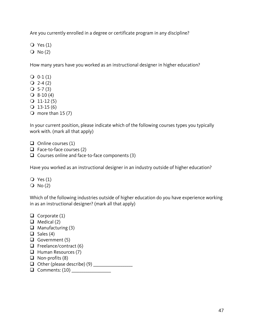Are you currently enrolled in a degree or certificate program in any discipline?

 $\bigcirc$  Yes (1)

 $Q \text{No} (2)$ 

How many years have you worked as an instructional designer in higher education?

- $Q_0$  0-1(1)
- $Q$  2-4 (2)
- $Q$  5-7(3)
- $Q$  8-10 (4)
- $Q_11-12(5)$
- $Q$  13-15 (6)

 $\overline{O}$  more than 15 (7)

In your current position, please indicate which of the following courses types you typically work with. (mark all that apply)

 $\Box$  Online courses (1)

- $\Box$  Face-to-face courses (2)
- $\Box$  Courses online and face-to-face components (3)

Have you worked as an instructional designer in an industry outside of higher education?

 $\bigcirc$  Yes (1)  $Q \text{No} (2)$ 

Which of the following industries outside of higher education do you have experience working in as an instructional designer? (mark all that apply)

- $\Box$  Corporate (1)  $\Box$  Medical (2)  $\Box$  Manufacturing (3)  $\Box$  Sales (4)  $\Box$  Government (5)  $\Box$  Freelance/contract (6)  $\Box$  Human Resources (7)  $\Box$  Non-profits (8) Other (please describe) (9) \_\_\_\_\_\_\_\_\_\_\_\_\_\_\_\_\_\_\_\_
- Comments: (10) \_\_\_\_\_\_\_\_\_\_\_\_\_\_\_\_\_\_\_\_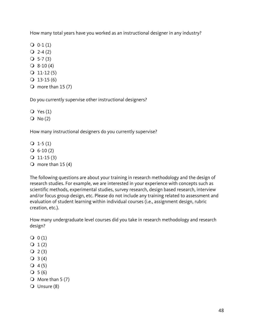How many total years have you worked as an instructional designer in any industry?

- $Q_0$  0-1(1)
- $Q$  2-4 (2)
- $Q$  5-7 (3)
- $Q$  8-10 (4)
- $Q_11-12(5)$
- $Q$  13-15 (6)
- $\Omega$  more than 15 (7)

Do you currently supervise other instructional designers?

 $Q$  Yes  $(1)$ 

 $Q \text{No} (2)$ 

How many instructional designers do you currently supervise?

- $Q_1-5(1)$
- $\bigcirc$  6-10 (2)
- $Q$  11-15 (3)
- $\bigcirc$  more than 15 (4)

The following questions are about your training in research methodology and the design of research studies. For example, we are interested in your experience with concepts such as scientific methods, experimental studies, survey research, design based research, interview and/or focus group design, etc. Please do not include any training related to assessment and evaluation of student learning within individual courses (i.e., assignment design, rubric creation, etc.).

How many undergraduate level courses did you take in research methodology and research design?

- $Q(1)$
- $Q_1(2)$
- $Q_2(3)$
- $Q_3(4)$
- $Q_4(5)$
- $Q 5(6)$
- $\overline{O}$  More than 5 (7)
- Unsure (8)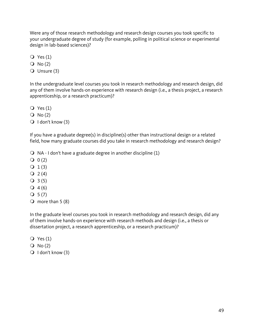Were any of those research methodology and research design courses you took specific to your undergraduate degree of study (for example, polling in political science or experimental design in lab-based sciences)?

- $Q$  Yes  $(1)$
- $Q \text{No} (2)$
- Unsure (3)

In the undergraduate level courses you took in research methodology and research design, did any of them involve hands-on experience with research design (i.e., a thesis project, a research apprenticeship, or a research practicum)?

- $Q$  Yes  $(1)$
- $O$  No  $(2)$
- $\bigcirc$  I don't know (3)

If you have a graduate degree(s) in discipline(s) other than instructional design or a related field, how many graduate courses did you take in research methodology and research design?

 $\bigcirc$  NA - I don't have a graduate degree in another discipline (1)

- $Q(2)$
- $Q_1(3)$
- $Q_2(4)$
- $Q_3(5)$
- $Q_4(6)$
- $Q_{5}(7)$
- $\overline{O}$  more than 5 (8)

In the graduate level courses you took in research methodology and research design, did any of them involve hands-on experience with research methods and design (i.e., a thesis or dissertation project, a research apprenticeship, or a research practicum)?

- $\bigcirc$  Yes (1)
- $Q \text{No} (2)$
- $\bigcirc$  I don't know (3)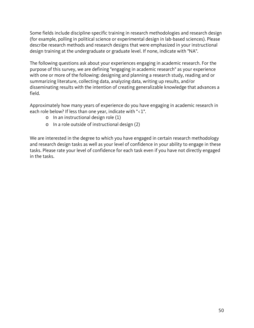Some fields include discipline-specific training in research methodologies and research design (for example, polling in political science or experimental design in lab-based sciences). Please describe research methods and research designs that were emphasized in your instructional design training at the undergraduate or graduate level. If none, indicate with "NA".

The following questions ask about your experiences engaging in academic research. For the purpose of this survey, we are defining "engaging in academic research" as your experience with one or more of the following: designing and planning a research study, reading and or summarizing literature, collecting data, analyzing data, writing up results, and/or disseminating results with the intention of creating generalizable knowledge that advances a field.

Approximately how many years of experience do you have engaging in academic research in each role below? If less than one year, indicate with "<1".

- o In an instructional design role (1)
- o In a role outside of instructional design (2)

We are interested in the degree to which you have engaged in certain research methodology and research design tasks as well as your level of confidence in your ability to engage in these tasks. Please rate your level of confidence for each task even if you have not directly engaged in the tasks.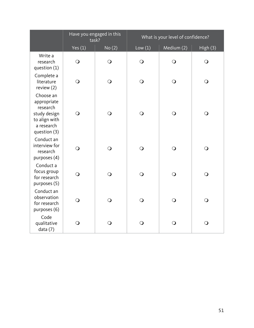|                                                                                                     | Have you engaged in this<br>task? |                | What is your level of confidence? |            |            |
|-----------------------------------------------------------------------------------------------------|-----------------------------------|----------------|-----------------------------------|------------|------------|
|                                                                                                     | Yes $(1)$                         | No(2)          | Low(1)                            | Medium (2) | High (3)   |
| Write a<br>research<br>question $(1)$                                                               | $\bigcirc$                        | $\bigcirc$     | $\bigcirc$                        | $\bigcirc$ | $\bigcirc$ |
| Complete a<br>literature<br>review (2)                                                              | $\bigcirc$                        | $\bigcirc$     | $\bigcirc$                        | $\bigcirc$ | $\bigcirc$ |
| Choose an<br>appropriate<br>research<br>study design<br>to align with<br>a research<br>question (3) | $\bigcirc$                        | $\bigcirc$     | $\bigcirc$                        | $\bigcirc$ | $\bigcirc$ |
| Conduct an<br>interview for<br>research<br>purposes (4)                                             | $\bigcirc$                        | $\bigcirc$     | $\bigcirc$                        | $\bigcirc$ | $\bigcirc$ |
| Conduct a<br>focus group<br>for research<br>purposes (5)                                            | $\bigcirc$                        | $\overline{O}$ | $\bigcirc$                        | $\bigcirc$ | $\bigcirc$ |
| Conduct an<br>observation<br>for research<br>purposes (6)                                           | $\bigcirc$                        | $\bigcirc$     | $\overline{O}$                    | $\bigcirc$ | $\bigcirc$ |
| Code<br>qualitative<br>data (7)                                                                     | $\bigcirc$                        | $\bigcirc$     | $\bigcirc$                        | $\bigcirc$ | $\bigcirc$ |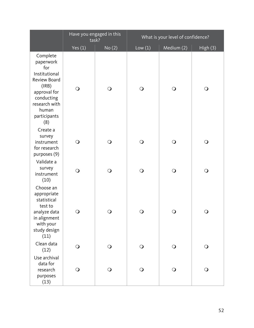|                                                                                                                                                       | Have you engaged in this<br>task? |            |            | What is your level of confidence? |              |  |  |
|-------------------------------------------------------------------------------------------------------------------------------------------------------|-----------------------------------|------------|------------|-----------------------------------|--------------|--|--|
|                                                                                                                                                       | Yes $(1)$                         | No(2)      | Low(1)     | Medium (2)                        | High (3)     |  |  |
| Complete<br>paperwork<br>for<br>Institutional<br>Review Board<br>(IRB)<br>approval for<br>conducting<br>research with<br>human<br>participants<br>(8) | $\bigcirc$                        | $\bigcirc$ | $\bigcirc$ | $\bigcirc$                        | $\bigcirc$   |  |  |
| Create a<br>survey<br>instrument<br>for research<br>purposes (9)                                                                                      | $\bigcirc$                        | $\bigcirc$ | $\bigcirc$ | $\bigcirc$                        | $\mathsf{O}$ |  |  |
| Validate a<br>survey<br>instrument<br>(10)                                                                                                            | $\bigcirc$                        | $\bigcirc$ | $\bigcirc$ | $\bigcirc$                        | $\bigcirc$   |  |  |
| Choose an<br>appropriate<br>statistical<br>test to<br>analyze data<br>in alignment<br>with your<br>study design<br>(11)                               | $\bigcirc$                        | O          | $\bigcirc$ | O                                 | O            |  |  |
| Clean data<br>(12)                                                                                                                                    | $\bigcirc$                        | $\bigcirc$ | $\bigcirc$ | $\bigcirc$                        | $\bigcirc$   |  |  |
| Use archival<br>data for<br>research<br>purposes<br>(13)                                                                                              | $\bigcirc$                        | $\bigcirc$ | $\bigcirc$ | $\bigcirc$                        | $\bigcirc$   |  |  |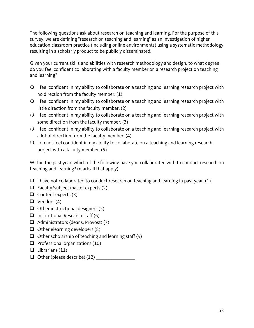The following questions ask about research on teaching and learning. For the purpose of this survey, we are defining "research on teaching and learning" as an investigation of higher education classroom practice (including online environments) using a systematic methodology resulting in a scholarly product to be publicly disseminated.

Given your current skills and abilities with research methodology and design, to what degree do you feel confident collaborating with a faculty member on a research project on teaching and learning?

- $\bigcirc$  I feel confident in my ability to collaborate on a teaching and learning research project with no direction from the faculty member. (1)
- $\bigcirc$  I feel confident in my ability to collaborate on a teaching and learning research project with little direction from the faculty member. (2)
- $\bigcirc$  I feel confident in my ability to collaborate on a teaching and learning research project with some direction from the faculty member. (3)
- $\bigcirc$  I feel confident in my ability to collaborate on a teaching and learning research project with a lot of direction from the faculty member. (4)
- $\bigcirc$  I do not feel confident in my ability to collaborate on a teaching and learning research project with a faculty member. (5)

Within the past year, which of the following have you collaborated with to conduct research on teaching and learning? (mark all that apply)

- $\Box$  I have not collaborated to conduct research on teaching and learning in past year. (1)
- $\Box$  Faculty/subject matter experts (2)
- $\Box$  Content experts (3)
- $\Box$  Vendors (4)
- $\Box$  Other instructional designers (5)
- $\Box$  Institutional Research staff (6)
- $\Box$  Administrators (deans, Provost) (7)
- $\Box$  Other elearning developers (8)
- $\Box$  Other scholarship of teaching and learning staff (9)
- $\Box$  Professional organizations (10)
- $\Box$  Librarians (11)
- Other (please describe) (12) \_\_\_\_\_\_\_\_\_\_\_\_\_\_\_\_\_\_\_\_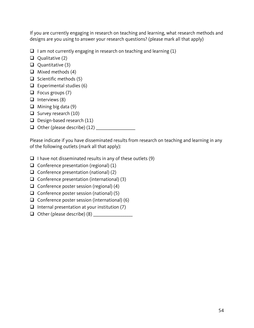If you are currently engaging in research on teaching and learning, what research methods and designs are you using to answer your research questions? (please mark all that apply)

- $\Box$  I am not currently engaging in research on teaching and learning (1)
- $\Box$  Qualitative (2)
- $\Box$  Quantitative (3)
- $\Box$  Mixed methods (4)
- $\Box$  Scientific methods (5)
- $\Box$  Experimental studies (6)
- $\Box$  Focus groups (7)
- $\Box$  Interviews (8)
- $\Box$  Mining big data (9)
- $\Box$  Survey research (10)
- $\Box$  Design-based research (11)
- Other (please describe) (12) \_\_\_\_\_\_\_\_\_\_\_\_\_\_\_\_\_\_\_\_

Please indicate if you have disseminated results from research on teaching and learning in any of the following outlets (mark all that apply):

- $\Box$  I have not disseminated results in any of these outlets (9)
- $\Box$  Conference presentation (regional) (1)
- $\Box$  Conference presentation (national) (2)
- $\Box$  Conference presentation (international) (3)
- $\Box$  Conference poster session (regional) (4)
- $\Box$  Conference poster session (national) (5)
- $\Box$  Conference poster session (international) (6)
- $\Box$  Internal presentation at your institution (7)
- $\Box$  Other (please describe) (8)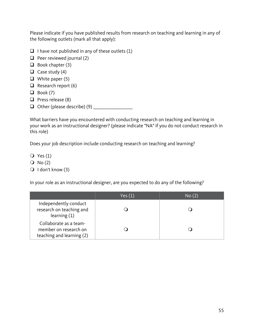Please indicate if you have published results from research on teaching and learning in any of the following outlets (mark all that apply):

- $\Box$  I have not published in any of these outlets (1)
- $\Box$  Peer reviewed journal (2)
- $\Box$  Book chapter (3)
- $\Box$  Case study (4)
- $\Box$  White paper (5)
- $\Box$  Research report (6)
- $\Box$  Book (7)
- $\Box$  Press release (8)
- Other (please describe) (9) \_\_\_\_\_\_\_\_\_\_\_\_\_\_\_\_\_\_\_\_

What barriers have you encountered with conducting research on teaching and learning in your work as an instructional designer? (please indicate "NA" if you do not conduct research in this role)

Does your job description include conducting research on teaching and learning?

- $\overline{Q}$  Yes (1)
- $\overline{O}$  No (2)
- $\bigcirc$  I don't know (3)

In your role as an instructional designer, are you expected to do any of the following?

|                                                                              | Yes $(1)$ | No(2) |
|------------------------------------------------------------------------------|-----------|-------|
| Independently conduct<br>research on teaching and<br>learning $(1)$          |           |       |
| Collaborate as a team-<br>member on research on<br>teaching and learning (2) |           |       |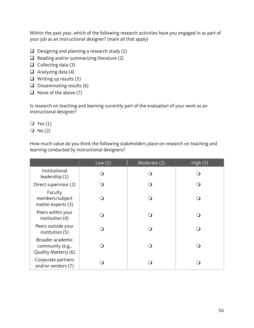Within the past year, which of the following research activities have you engaged in as part of your job as an instructional designer? (mark all that apply)

- $\Box$  Designing and planning a research study (1)
- $\Box$  Reading and/or summarizing literature (2)
- $\Box$  Collecting data (3)
- $\Box$  Analyzing data (4)
- $\Box$  Writing up results (5)
- $\Box$  Disseminating results (6)
- $\Box$  None of the above (7)

Is research on teaching and learning currently part of the evaluation of your work as an instructional designer?

 $Q$  Yes  $(1)$ 

 $O$  No  $(2)$ 

How much value do you think the following stakeholders place on research on teaching and learning conducted by instructional designers?

|                                                              | Low(1) | Moderate (2) | High(3) |
|--------------------------------------------------------------|--------|--------------|---------|
| Institutional<br>leadership (1)                              |        | ( )          |         |
| Direct supervisor (2)                                        |        |              |         |
| Faculty<br>members/subject<br>matter experts (3)             |        | ∩)           |         |
| Peers within your<br>institution (4)                         |        | ( )          |         |
| Peers outside your<br>institution (5)                        |        | ( )          |         |
| Broader academic<br>community (e.g.,<br>Quality Matters) (6) |        | ( )          |         |
| Corporate partners<br>and/or vendors (7)                     |        |              |         |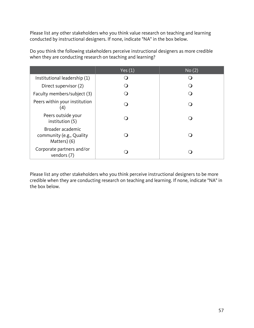Please list any other stakeholders who you think value research on teaching and learning conducted by instructional designers. If none, indicate "NA" in the box below.

|                                                              | Yes $(1)$ | No(2) |
|--------------------------------------------------------------|-----------|-------|
| Institutional leadership (1)                                 |           |       |
| Direct supervisor (2)                                        |           |       |
| Faculty members/subject (3)                                  |           |       |
| Peers within your institution<br>$\left( 4\right)$           |           |       |
| Peers outside your<br>institution (5)                        |           |       |
| Broader academic<br>community (e.g., Quality<br>Matters) (6) |           |       |
| Corporate partners and/or<br>vendors (7)                     |           |       |

Do you think the following stakeholders perceive instructional designers as more credible when they are conducting research on teaching and learning?

Please list any other stakeholders who you think perceive instructional designers to be more credible when they are conducting research on teaching and learning. If none, indicate "NA" in the box below.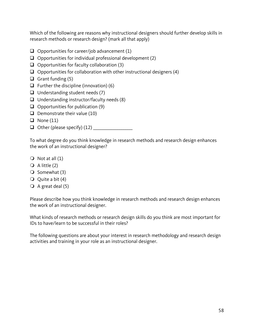Which of the following are reasons why instructional designers should further develop skills in research methods or research design? (mark all that apply)

- $\Box$  Opportunities for career/job advancement (1)
- $\Box$  Opportunities for individual professional development (2)
- $\Box$  Opportunities for faculty collaboration (3)
- $\Box$  Opportunities for collaboration with other instructional designers (4)
- Grant funding  $(5)$
- $\Box$  Further the discipline (innovation) (6)
- $\Box$  Understanding student needs (7)
- $\Box$  Understanding instructor/faculty needs (8)
- $\Box$  Opportunities for publication (9)
- $\Box$  Demonstrate their value (10)
- $\Box$  None (11)
- Other (please specify) (12) \_\_\_\_\_\_\_\_\_\_\_\_\_\_\_\_\_\_\_\_

To what degree do you think knowledge in research methods and research design enhances the work of an instructional designer?

- $\bigcirc$  Not at all  $(1)$
- $\bigcirc$  A little (2)
- $\bigcirc$  Somewhat (3)
- $\overline{Q}$  Quite a bit (4)
- $\bigcirc$  A great deal (5)

Please describe how you think knowledge in research methods and research design enhances the work of an instructional designer.

What kinds of research methods or research design skills do you think are most important for IDs to have/learn to be successful in their roles?

The following questions are about your interest in research methodology and research design activities and training in your role as an instructional designer.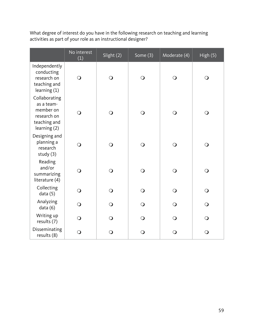What degree of interest do you have in the following research on teaching and learning activities as part of your role as an instructional designer?

|                                                                                         | No interest<br>(1) | Slight (2)     | Some (3)       | Moderate (4)   | High (5)   |
|-----------------------------------------------------------------------------------------|--------------------|----------------|----------------|----------------|------------|
| Independently<br>conducting<br>research on<br>teaching and<br>learning (1)              | $\bigcirc$         | $\overline{O}$ | $\bigcirc$     | $\bigcirc$     | $\bigcirc$ |
| Collaborating<br>as a team-<br>member on<br>research on<br>teaching and<br>learning (2) | $\bigcirc$         | $\Omega$       | $\bigcirc$     | $\bigcirc$     | $\bigcirc$ |
| Designing and<br>planning a<br>research<br>study (3)                                    | $\bigcirc$         | $\Omega$       | $\overline{O}$ | $\overline{O}$ | $\bigcirc$ |
| Reading<br>and/or<br>summarizing<br>literature (4)                                      | $\bigcirc$         | $\overline{O}$ | $\bigcirc$     | $\bigcirc$     | $\bigcirc$ |
| Collecting<br>data (5)                                                                  | $\bigcirc$         | $\overline{O}$ | $\overline{O}$ | $\overline{O}$ | $\bigcirc$ |
| Analyzing<br>data (6)                                                                   | $\bigcirc$         | $\overline{O}$ | $\bigcirc$     | $\bigcirc$     | $\bigcirc$ |
| Writing up<br>results (7)                                                               | $\bigcirc$         | $\overline{O}$ | $\bigcirc$     | $\bigcirc$     | $\bigcirc$ |
| Disseminating<br>results (8)                                                            | $\bigcirc$         | $\mathbf O$    | $\bigcirc$     | $\bigcirc$     | $\bigcirc$ |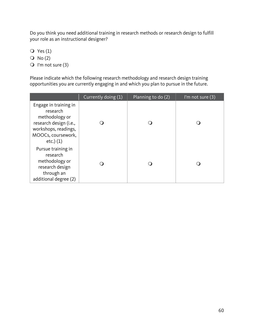Do you think you need additional training in research methods or research design to fulfill your role as an instructional designer?

 $\overline{O}$  Yes (1)

 $O No(2)$ 

 $\bigcirc$  I'm not sure (3)

Please indicate which the following research methodology and research design training opportunities you are currently engaging in and which you plan to pursue in the future.

|                                                                                                                                               | Currently doing (1) | Planning to do (2) | I'm not sure $(3)$ |
|-----------------------------------------------------------------------------------------------------------------------------------------------|---------------------|--------------------|--------------------|
| Engage in training in<br>research<br>methodology or<br>research design (i.e.,<br>workshops, readings,<br>MOOCs, coursework,<br>$etc.$ ) $(1)$ |                     |                    |                    |
| Pursue training in<br>research<br>methodology or<br>research design<br>through an<br>additional degree (2)                                    |                     |                    |                    |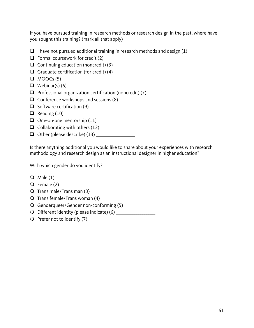If you have pursued training in research methods or research design in the past, where have you sought this training? (mark all that apply)

- $\Box$  I have not pursued additional training in research methods and design (1)
- $\Box$  Formal coursework for credit (2)
- $\Box$  Continuing education (noncredit) (3)
- Graduate certification (for credit)  $(4)$
- $\Box$  MOOCs (5)
- $\Box$  Webinar(s) (6)
- $\Box$  Professional organization certification (noncredit) (7)
- $\Box$  Conference workshops and sessions (8)
- $\Box$  Software certification (9)
- $\Box$  Reading (10)
- $\Box$  One-on-one mentorship (11)
- $\Box$  Collaborating with others (12)
- Other (please describe) (13) \_\_\_\_\_\_\_\_\_\_\_\_\_\_\_\_\_\_\_\_

Is there anything additional you would like to share about your experiences with research methodology and research design as an instructional designer in higher education?

With which gender do you identify?

- $\bigcirc$  Male (1)
- $\overline{Q}$  Female (2)
- $\bigcirc$  Trans male/Trans man (3)
- $\bigcirc$  Trans female/Trans woman (4)
- Genderqueer/Gender non-conforming (5)
- Different identity (please indicate) (6) \_\_\_\_\_\_\_\_\_\_\_\_\_\_\_\_\_\_\_\_
- $\bigcirc$  Prefer not to identify (7)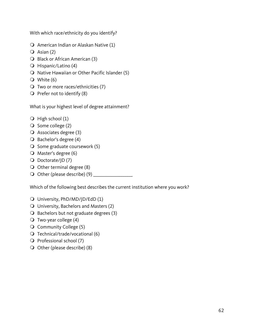With which race/ethnicity do you identify?

- $\bigcirc$  American Indian or Alaskan Native (1)
- $\overline{Q}$  Asian (2)
- **O** Black or African American (3)
- $\bigcirc$  Hispanic/Latino (4)
- $\bigcirc$  Native Hawaiian or Other Pacific Islander (5)
- White (6)
- $\bigcirc$  Two or more races/ethnicities (7)
- $\bigcirc$  Prefer not to identify (8)

What is your highest level of degree attainment?

- $\bigcirc$  High school (1)
- $\bigcirc$  Some college (2)
- $\overline{Q}$  Associates degree (3)
- $\bigcirc$  Bachelor's degree (4)
- $\bigcirc$  Some graduate coursework (5)
- $\bigcirc$  Master's degree (6)
- $\bigcirc$  Doctorate/JD(7)
- $\bigcirc$  Other terminal degree (8)
- Other (please describe) (9) \_\_\_\_\_\_\_\_\_\_\_\_\_\_\_\_\_\_\_\_

Which of the following best describes the current institution where you work?

- University, PhD/MD/JD/EdD (1)
- University, Bachelors and Masters (2)
- $\bigcirc$  Bachelors but not graduate degrees (3)
- $\bigcirc$  Two-year college (4)
- Community College (5)
- $\bigcirc$  Technical/trade/vocational (6)
- $\overline{Q}$  Professional school (7)
- $\bigcirc$  Other (please describe) (8)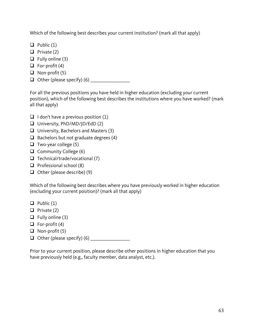Which of the following best describes your current institution? (mark all that apply)

- $\Box$  Public (1)
- $\Box$  Private (2)
- $\Box$  Fully online (3)
- $\Box$  For-profit (4)
- $\Box$  Non-profit (5)
- Other (please specify) (6) \_\_\_\_\_\_\_\_\_\_\_\_\_\_\_\_\_\_\_\_

For all the previous positions you have held in higher education (excluding your current position), which of the following best describes the institutions where you have worked? (mark all that apply)

- $\Box$  I don't have a previous position (1)
- $\Box$  University, PhD/MD/JD/EdD (2)
- $\Box$  University, Bachelors and Masters (3)
- $\Box$  Bachelors but not graduate degrees (4)
- $\Box$  Two-year college (5)
- $\Box$  Community College (6)
- $\Box$  Technical/trade/vocational (7)
- $\Box$  Professional school (8)
- $\Box$  Other (please describe) (9)

Which of the following best describes where you have previously worked in higher education (excluding your current position)? (mark all that apply)

- $\Box$  Public (1)
- $\Box$  Private (2)
- $\Box$  Fully online (3)
- $\Box$  For-profit (4)
- $\Box$  Non-profit (5)
- $\Box$  Other (please specify) (6)

Prior to your current position, please describe other positions in higher education that you have previously held (e.g., faculty member, data analyst, etc.).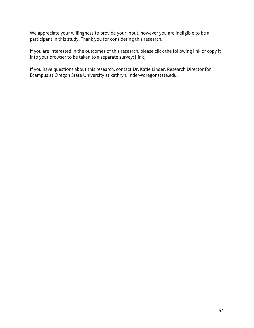We appreciate your willingness to provide your input, however you are ineligible to be a participant in this study. Thank you for considering this research.

If you are interested in the outcomes of this research, please click the following link or copy it into your browser to be taken to a separate survey: [link]

If you have questions about this research, contact Dr. Katie Linder, Research Director for Ecampus at Oregon State University at kathryn.linder@oregonstate.edu.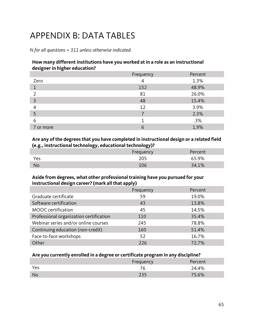# APPENDIX B: DATA TABLES

*N for all questions = 311 unless otherwise indicated.*

#### **How many different institutions have you worked at in a role as an instructional designer in higher education?**

|           | Frequency | Percent |
|-----------|-----------|---------|
| Zero      | 4         | 1.3%    |
|           | 152       | 48.9%   |
| っ         | 81        | 26.0%   |
| 3         | 48        | 15.4%   |
| 4         | 12        | 3.9%    |
|           |           | 2.3%    |
| 6         |           | .3%     |
| 7 or more |           | 1.9%    |

#### **Are any of the degrees that you have completed in instructional design or a related field (e.g., instructional technology, educational technology)?**

|           | Frequency | Percent |
|-----------|-----------|---------|
| Yes       |           | 65.9%   |
| <b>No</b> | 106       | 34.1%   |

#### **Aside from degrees, what other professional training have you pursued for your instructional design career? (mark all that apply)**

|                                         | Frequency | Percent |
|-----------------------------------------|-----------|---------|
| Graduate certificate                    | 59        | 19.0%   |
| Software certification                  | 43        | 13.8%   |
| MOOC certification                      | 45        | 14.5%   |
| Professional organization certification | 110       | 35.4%   |
| Webinar series and/or online courses    | 245       | 78.8%   |
| Continuing education (non-credit)       | 160       | 51.4%   |
| Face-to-face workshops                  | 52        | 16.7%   |
| Other                                   | 226       | 72.7%   |

#### **Are you currently enrolled in a degree or certificate program in any discipline?**

|     | Frequency | Percent |
|-----|-----------|---------|
| Yes | ' b       | 24.4%   |
| No  | つつに       | 75.6%   |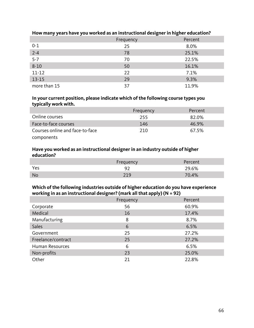|              | Frequency | Percent |
|--------------|-----------|---------|
| $0 - 1$      | 25        | 8.0%    |
| $2 - 4$      | 78        | 25.1%   |
| $5 - 7$      | 70        | 22.5%   |
| $8 - 10$     | 50        | 16.1%   |
| $11 - 12$    | 22        | 7.1%    |
| $13 - 15$    | 29        | 9.3%    |
| more than 15 | 37        | 11.9%   |

# **How many years have you worked as an instructional designer in higher education?**

#### **In your current position, please indicate which of the following course types you typically work with.**

|                                 | Frequency | Percent |
|---------------------------------|-----------|---------|
| Online courses                  | 255       | 82.0%   |
| Face-to-face courses            | -146      | 46.9%   |
| Courses online and face-to-face | 210       | 67.5%   |
| components                      |           |         |

#### **Have you worked as an instructional designer in an industry outside of higher education?**

|           | Frequency | Percent |
|-----------|-----------|---------|
| Yes       | ിി        | 29.6%   |
| <b>No</b> | 210       | 70.4%   |

# **Which of the following industries outside of higher education do you have experience working in as an instructional designer? (mark all that apply) (N = 92)**

|                    | Frequency | Percent |
|--------------------|-----------|---------|
| Corporate          | 56        | 60.9%   |
| Medical            | 16        | 17.4%   |
| Manufacturing      | 8         | 8.7%    |
| <b>Sales</b>       | 6         | 6.5%    |
| Government         | 25        | 27.2%   |
| Freelance/contract | 25        | 27.2%   |
| Human Resources    | 6         | 6.5%    |
| Non-profits        | 23        | 25.0%   |
| Other              | 21        | 22.8%   |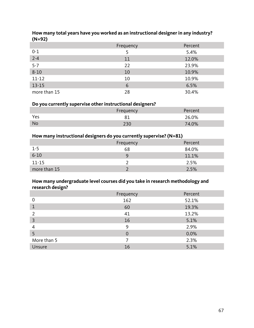| ,            |           |         |
|--------------|-----------|---------|
|              | Frequency | Percent |
| $0 - 1$      |           | 5.4%    |
| $2 - 4$      | 11        | 12.0%   |
| $5 - 7$      | 22        | 23.9%   |
| $8 - 10$     | 10        | 10.9%   |
| $11 - 12$    | 10        | 10.9%   |
| $13 - 15$    | 6         | 6.5%    |
| more than 15 | 28        | 30.4%   |

#### **How many total years have you worked as an instructional designer in any industry? (N=92)**

# **Do you currently supervise other instructional designers?**

|           | Freauencv | Percent |
|-----------|-----------|---------|
| Yes       |           | 26.0%   |
| <b>No</b> |           | 74.0%   |

#### **How many instructional designers do you currently supervise? (N=81)**

|              | Frequency | Percent |
|--------------|-----------|---------|
| $1-5$        | 68        | 84.0%   |
| $6 - 10$     |           | 11.1%   |
| $11 - 15$    |           | 2.5%    |
| more than 15 |           | 2.5%    |

# **How many undergraduate level courses did you take in research methodology and research design?**

| -            | Frequency | Percent |
|--------------|-----------|---------|
| 0            | 162       | 52.1%   |
| $\mathbf{1}$ | 60        | 19.3%   |
| 2            | 41        | 13.2%   |
| 3            | 16        | 5.1%    |
| 4            | 9         | 2.9%    |
| 5            | $\Omega$  | 0.0%    |
| More than 5  |           | 2.3%    |
| Unsure       | 16        | 5.1%    |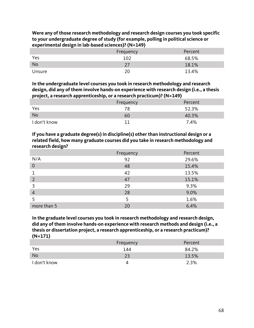| Were any of those research methodology and research design courses you took specific |
|--------------------------------------------------------------------------------------|
| to your undergraduate degree of study (for example, polling in political science or  |
| experimental design in lab-based sciences)? (N=149)                                  |

|           | Frequency | Percent |
|-----------|-----------|---------|
| Yes       | 102       | 68.5%   |
| <b>No</b> |           | 18.1%   |
| Unsure    |           | 13.4%   |

**In the undergraduate level courses you took in research methodology and research design, did any of them involve hands-on experience with research design (i.e., a thesis project, a research apprenticeship, or a research practicum)? (N=149)**

|              | Frequency | Percent |
|--------------|-----------|---------|
| Yes          |           | 52.3%   |
| <b>No</b>    | 6()       | 40.3%   |
| I don't know |           | 7.4%    |

**If you have a graduate degree(s) in discipline(s) other than instructional design or a related field, how many graduate courses did you take in research methodology and research design?**

|                | Frequency | Percent |
|----------------|-----------|---------|
| N/A            | 92        | 29.6%   |
| $\overline{0}$ | 48        | 15.4%   |
|                | 42        | 13.5%   |
| $\overline{2}$ | 47        | 15.1%   |
| 3              | 29        | 9.3%    |
| $\overline{4}$ | 28        | 9.0%    |
|                |           | 1.6%    |
| more than 5    | 20        | 6.4%    |

**In the graduate level courses you took in research methodology and research design, did any of them involve hands-on experience with research methods and design (i.e., a thesis or dissertation project, a research apprenticeship, or a research practicum)? (N=171)**

|              | Frequency | Percent |
|--------------|-----------|---------|
| Yes          | 144       | 84.2%   |
| <b>No</b>    | つっ        | 13.5%   |
| I don't know |           | 2.3%    |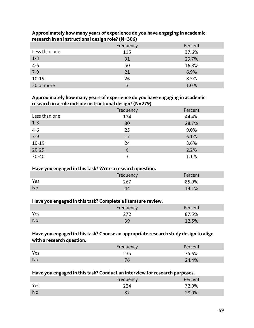|                   | Frequency | Percent |
|-------------------|-----------|---------|
| Less than one     | 115       | 37.6%   |
| $1 - 3$           | 91        | 29.7%   |
|                   | 50        | 16.3%   |
| $\frac{4-6}{7-9}$ | 21        | 6.9%    |
| $10 - 19$         | 26        | 8.5%    |
| 20 or more        |           | 1.0%    |

#### **Approximately how many years of experience do you have engaging in academic research in an instructional design role? (N=306)**

#### **Approximately how many years of experience do you have engaging in academic research in a role outside instructional design? (N=279)**

|               | Frequency | Percent |
|---------------|-----------|---------|
| Less than one | 124       | 44.4%   |
| $1 - 3$       | 80        | 28.7%   |
| $4 - 6$       | 25        | 9.0%    |
| $7-9$         | 17        | 6.1%    |
| $10 - 19$     | 24        | 8.6%    |
| $20 - 29$     | 6         | 2.2%    |
| $30 - 40$     | 2         | 1.1%    |

# **Have you engaged in this task? Write a research question.**

| __<br>____ | Frequency | Percent |
|------------|-----------|---------|
| Yes        | 267       | 85.9%   |
| <b>No</b>  |           | 14.1%   |

### **Have you engaged in this task? Complete a literature review.**

| _<br>___  | __<br>Frequency | Percent |
|-----------|-----------------|---------|
| Yes       |                 | 87.5%   |
| <b>No</b> | ה ר             | 12.5%   |

# **Have you engaged in this task? Choose an appropriate research study design to align with a research question.**

|     | Frequency | Percent |
|-----|-----------|---------|
| Yes | つつに       | 75.6%   |
| No  |           | 24.4%   |

#### **Have you engaged in this task? Conduct an interview for research purposes.**

|     | Frequency | Percent |
|-----|-----------|---------|
| Yes | 224       | 72.0%   |
| No  |           | 28.0%   |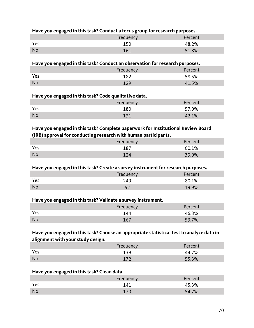# **Have you engaged in this task? Conduct a focus group for research purposes.**

|           | Frequency | Percent |
|-----------|-----------|---------|
| Yes       | 150       | 48.2%   |
| <b>No</b> | 161       | 51.8%   |

#### **Have you engaged in this task? Conduct an observation for research purposes.**

|           | Frequency | Percent |
|-----------|-----------|---------|
| Yes       | 187       | 58.5%   |
| <b>No</b> | 1 ລດ      | EQ      |

#### **Have you engaged in this task? Code qualitative data.**

|           | Frequency | Percent |
|-----------|-----------|---------|
| Yes       | 180       | 57.9%   |
| <b>No</b> | 127       | 42.1%   |

# **Have you engaged in this task? Complete paperwork for Institutional Review Board (IRB) approval for conducting research with human participants.**

|           | Frequency | Percent |
|-----------|-----------|---------|
| Yes       | 187       | 60.1%   |
| <b>No</b> | 124       | 39.9%   |

#### **Have you engaged in this task? Create a survey instrument for research purposes.**

|           | Frequency | Percent |
|-----------|-----------|---------|
| Yes       | 249       | 80.1%   |
| <b>No</b> |           | 19.9%   |

#### **Have you engaged in this task? Validate a survey instrument.**

|           | Frequency | Percent |
|-----------|-----------|---------|
| Yes       | 144       | 46.3%   |
| <b>No</b> | 167       | 53.7%   |

# **Have you engaged in this task? Choose an appropriate statistical test to analyze data in alignment with your study design.**

|           | Frequency | Percent |
|-----------|-----------|---------|
| Yes       | 139       | 44.7%   |
| <b>No</b> |           | 55.3%   |

#### **Have you engaged in this task? Clean data.**

|           | Frequency | Percent |
|-----------|-----------|---------|
| Yes       | 141       | 45.3%   |
| <b>No</b> |           | 54.7%   |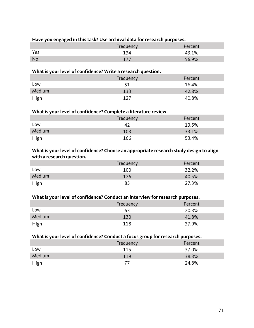# **Have you engaged in this task? Use archival data for research purposes.**

|           | <b>Frequency</b><br>uency | 'ercent |
|-----------|---------------------------|---------|
| Yes       |                           | 1%      |
| <b>No</b> | щ.                        | 56.9%   |

# **What is your level of confidence? Write a research question.**

|        | Frequency | Percent |
|--------|-----------|---------|
| Low    |           | 16.4%   |
| Medium | 133       | 42.8%   |
| High   | 127       | 40.8%   |

# **What is your level of confidence? Complete a literature review.**

|        | Frequency | Percent |
|--------|-----------|---------|
| Low    |           | 13.5%   |
| Medium | 103       | 33.1%   |
| High   | 166       | 53.4%   |

#### **What is your level of confidence? Choose an appropriate research study design to align with a research question.**

|        | Frequency | Percent |
|--------|-----------|---------|
| Low    | 100       | 32.2%   |
| Medium | 126       | 40.5%   |
| High   | 85        | 27.3%   |

#### **What is your level of confidence? Conduct an interview for research purposes.**

|        | Frequency | Percent |
|--------|-----------|---------|
| Low    | 63        | 20.3%   |
| Medium | 130       | 41.8%   |
| High   | 118       | 37.9%   |

# **What is your level of confidence? Conduct a focus group for research purposes.**

|        | Frequency | Percent |
|--------|-----------|---------|
| LOW    | 115       | 37.0%   |
| Medium | 119       | 38.3%   |
| High   |           | 24.8%   |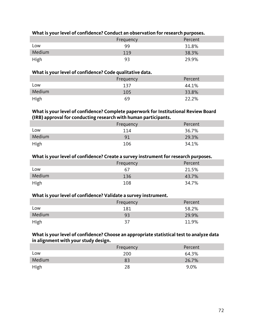| What is your level of confidence? Conduct an observation for research purposes. |  |  |
|---------------------------------------------------------------------------------|--|--|
|---------------------------------------------------------------------------------|--|--|

|        | Frequency | Percent |
|--------|-----------|---------|
| LOW    | 99        | 31.8%   |
| Medium | 119       | 38.3%   |
| High   | -93       | 29.9%   |

#### **What is your level of confidence? Code qualitative data.**

|        | Frequency | Percent |
|--------|-----------|---------|
| LOW    | 137       | 44.1%   |
| Medium | 105       | 33.8%   |
| High   | 69        | 22.2%   |

#### **What is your level of confidence? Complete paperwork for Institutional Review Board (IRB) approval for conducting research with human participants.**

|        | Frequency | Percent |
|--------|-----------|---------|
| Low    | 114       | 36.7%   |
| Medium | 91        | 29.3%   |
| High   | 106       | 34.1%   |

#### **What is your level of confidence? Create a survey instrument for research purposes.**

|        | Frequency | Percent |
|--------|-----------|---------|
| Low    | 67        | 21.5%   |
| Medium | 136       | 43.7%   |
| High   | 108       | 34.7%   |

#### **What is your level of confidence? Validate a survey instrument.**

|        | Frequency | Percent |
|--------|-----------|---------|
| Low    | 181       | 58.2%   |
| Medium | 93        | 29.9%   |
| High   | 37        | 11.9%   |

### **What is your level of confidence? Choose an appropriate statistical test to analyze data in alignment with your study design.**

|             | Frequency | Percent |
|-------------|-----------|---------|
| LOW         | 200       | 64.3%   |
| Medium      | 83        | 26.7%   |
| <b>High</b> | 28        | 9.0%    |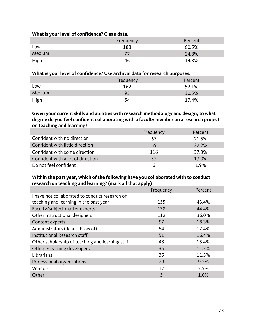## **What is your level of confidence? Clean data.**

|        | Frequency | Percent |
|--------|-----------|---------|
| Low    | 188       | 60.5%   |
| Medium |           | 24.8%   |
| High   | 46        | 14.8%   |

# **What is your level of confidence? Use archival data for research purposes.**

|        | Frequency | Percent |
|--------|-----------|---------|
| Low    | 162       | 52.1%   |
| Medium | 95        | 30.5%   |
| High   | 54        | 17.4%   |

# **Given your current skills and abilities with research methodology and design, to what degree do you feel confident collaborating with a faculty member on a research project on teaching and learning?**

|                                   | Frequency | Percent |
|-----------------------------------|-----------|---------|
| Confident with no direction       | 67        | 21.5%   |
| Confident with little direction   | 69        | 22.2%   |
| Confident with some direction     | 116       | 37.3%   |
| Confident with a lot of direction | 53        | 17.0%   |
| Do not feel confident             | 6         | 1.9%    |

# **Within the past year, which of the following have you collaborated with to conduct research on teaching and learning? (mark all that apply)**

|                                                  | Frequency | Percent |
|--------------------------------------------------|-----------|---------|
| I have not collaborated to conduct research on   |           |         |
| teaching and learning in the past year           | 135       | 43.4%   |
| Faculty/subject matter experts                   | 138       | 44.4%   |
| Other instructional designers                    | 112       | 36.0%   |
| Content experts                                  | 57        | 18.3%   |
| Administrators (deans, Provost)                  | 54        | 17.4%   |
| Institutional Research staff                     | 51        | 16.4%   |
| Other scholarship of teaching and learning staff | 48        | 15.4%   |
| Other e-learning developers                      | 35        | 11.3%   |
| Librarians                                       | 35        | 11.3%   |
| Professional organizations                       | 29        | 9.3%    |
| Vendors                                          | 17        | 5.5%    |
| Other                                            | 3         | 1.0%    |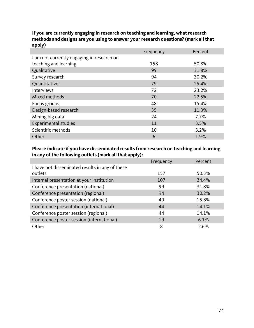## **If you are currently engaging in research on teaching and learning, what research methods and designs are you using to answer your research questions? (mark all that apply)**

|                                            | Frequency | Percent |
|--------------------------------------------|-----------|---------|
| I am not currently engaging in research on |           |         |
| teaching and learning                      | 158       | 50.8%   |
| Qualitative                                | 99        | 31.8%   |
| Survey research                            | 94        | 30.2%   |
| Quantitative                               | 79        | 25.4%   |
| <b>Interviews</b>                          | 72        | 23.2%   |
| Mixed methods                              | 70        | 22.5%   |
| Focus groups                               | 48        | 15.4%   |
| Design-based research                      | 35        | 11.3%   |
| Mining big data                            | 24        | 7.7%    |
| <b>Experimental studies</b>                | 11        | 3.5%    |
| Scientific methods                         | 10        | 3.2%    |
| Other                                      | 6         | 1.9%    |

# **Please indicate if you have disseminated results from research on teaching and learning in any of the following outlets (mark all that apply):**

|                                                 | Frequency | Percent |
|-------------------------------------------------|-----------|---------|
| I have not disseminated results in any of these |           |         |
| outlets                                         | 157       | 50.5%   |
| Internal presentation at your institution       | 107       | 34.4%   |
| Conference presentation (national)              | 99        | 31.8%   |
| Conference presentation (regional)              | 94        | 30.2%   |
| Conference poster session (national)            | 49        | 15.8%   |
| Conference presentation (international)         | 44        | 14.1%   |
| Conference poster session (regional)            | 44        | 14.1%   |
| Conference poster session (international)       | 19        | 6.1%    |
| Other                                           | 8         | 2.6%    |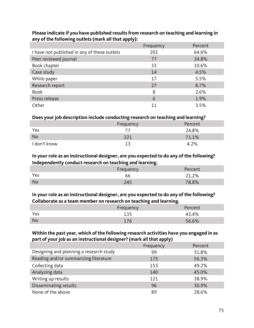|                                              | Frequency | Percent |
|----------------------------------------------|-----------|---------|
| I have not published in any of these outlets | 201       | 64.6%   |
| Peer reviewed journal                        | 77        | 24.8%   |
| Book chapter                                 | 33        | 10.6%   |
| Case study                                   | 14        | 4.5%    |
| White paper                                  | 17        | 5.5%    |
| Research report                              | 27        | 8.7%    |
| <b>Book</b>                                  | 8         | 2.6%    |
| Press release                                | 6         | 1.9%    |
| Other                                        | 11        | 3.5%    |

## **Please indicate if you have published results from research on teaching and learning in any of the following outlets (mark all that apply):**

# **Does your job description include conducting research on teaching and learning?**

|              | Frequency | Percent |
|--------------|-----------|---------|
| Yes          |           | 24.8%   |
| <b>No</b>    |           | 71.1%   |
| I don't know |           | 4.2%    |

# **In your role as an instructional designer, are you expected to do any of the following? Independently conduct research on teaching and learning.**

| . .<br>- | <br><br>Frequency | Percent |
|----------|-------------------|---------|
|          |                   |         |
| Yes      | bb                | 21.2%   |
| No       |                   | 78.8%   |

# **In your role as an instructional designer, are you expected to do any of the following? Collaborate as a team member on research on teaching and learning.**

|     | Frequency | <br>Percent |
|-----|-----------|-------------|
| Yes | 135       | 43.4%       |
| No  |           | 56.6%       |

# **Within the past year, which of the following research activities have you engaged in as part of your job as an instructional designer? (mark all that apply)**

|                                         | Frequency | Percent |
|-----------------------------------------|-----------|---------|
| Designing and planning a research study | 99        | 31.8%   |
| Reading and/or summarizing literature   | 175       | 56.3%   |
| Collecting data                         | 153       | 49.2%   |
| Analyzing data                          | 140       | 45.0%   |
| Writing up results                      | 121       | 38.9%   |
| Disseminating results                   | 96        | 30.9%   |
| None of the above                       | 89        | 28.6%   |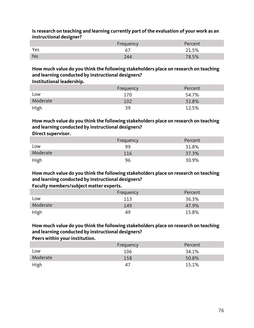| ັ         |           |         |
|-----------|-----------|---------|
|           | Frequency | Percent |
| Yes       |           | 21.5%   |
| <b>No</b> | '44       | 78.5%   |

#### **Is research on teaching and learning currently part of the evaluation of your work as an instructional designer?**

#### **How much value do you think the following stakeholders place on research on teaching and learning conducted by instructional designers? Institutional leadership.**

| .        |           |         |
|----------|-----------|---------|
|          | Frequency | Percent |
| Low      | 170       | 54.7%   |
| Moderate | 102       | 32.8%   |
| High     | 39        | 12.5%   |

#### **How much value do you think the following stakeholders place on research on teaching and learning conducted by instructional designers? Direct supervisor.**

| _  _ _ . _ _ . _ _ |           |         |
|--------------------|-----------|---------|
|                    | Frequency | Percent |
| Low                | 99        | 31.8%   |
| Moderate           | 116       | 37.3%   |
| High               | 96        | 30.9%   |

# **How much value do you think the following stakeholders place on research on teaching and learning conducted by instructional designers?**

# **Faculty members/subject matter experts.**

|          | Frequency | Percent |
|----------|-----------|---------|
| LOW      | 113       | 36.3%   |
| Moderate | 149       | 47.9%   |
| High     | 49        | 15.8%   |

# **How much value do you think the following stakeholders place on research on teaching and learning conducted by instructional designers?**

## **Peers within your institution.**

|          | Frequency | Percent  |
|----------|-----------|----------|
| Low      | 106       | 34.1%    |
| Moderate | 158       | $50.8\%$ |
| High     | 47        | 15.1%    |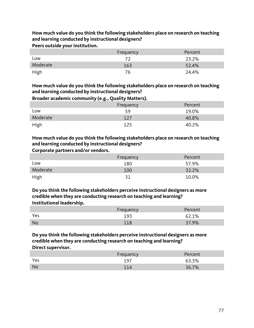**How much value do you think the following stakeholders place on research on teaching and learning conducted by instructional designers? Peers outside your institution.**

|          | Frequency | Percent |
|----------|-----------|---------|
| LOW      |           | 23.2%   |
| Moderate | 163       | 52.4%   |
| High     | 76        | 24.4%   |

**How much value do you think the following stakeholders place on research on teaching and learning conducted by instructional designers?**

**Broader academic community (e.g., Quality Matters).**

|          | Frequency | Percent |
|----------|-----------|---------|
| LOW      | 59        | 19.0%   |
| Moderate | 127       | 40.8%   |
| High     | 125       | 40.2%   |

**How much value do you think the following stakeholders place on research on teaching and learning conducted by instructional designers?**

**Corporate partners and/or vendors.**

|             | Frequency | Percent |
|-------------|-----------|---------|
| Low         | 180       | 57.9%   |
| Moderate    | 100       | 32.2%   |
| <b>High</b> |           | 10.0%   |

**Do you think the following stakeholders perceive instructional designers as more credible when they are conducting research on teaching and learning? Institutional leadership.**

|     | Frequency | Percent |
|-----|-----------|---------|
| Yes | 193       | 62.1%   |
| No  | 110       | 37.9%   |

## **Do you think the following stakeholders perceive instructional designers as more credible when they are conducting research on teaching and learning? Direct supervisor.**

|           | Frequency       | Percent |
|-----------|-----------------|---------|
| Yes       | 197             | 63.3%   |
| <b>No</b> | 11 <sub>A</sub> | 36.7%   |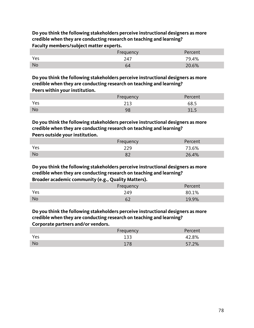**Do you think the following stakeholders perceive instructional designers as more credible when they are conducting research on teaching and learning? Faculty members/subject matter experts.**

|     | uency |          |
|-----|-------|----------|
| Yes | -     | $9.4\%$  |
| No  |       | $20.6\%$ |

**Do you think the following stakeholders perceive instructional designers as more credible when they are conducting research on teaching and learning? Peers within your institution.**

|     | Frequency | Percent |
|-----|-----------|---------|
| Yes | า1ว       | 68.5    |
| No  | oc<br>7 C | ر.15    |

**Do you think the following stakeholders perceive instructional designers as more credible when they are conducting research on teaching and learning? Peers outside your institution.**

|     | Frequency | Percent |
|-----|-----------|---------|
| Yes | 229       | 73.6%   |
| No  |           | 26.4%   |

**Do you think the following stakeholders perceive instructional designers as more credible when they are conducting research on teaching and learning? Broader academic community (e.g., Quality Matters).**

|           | .         |         |
|-----------|-----------|---------|
|           | Frequency | Percent |
| Yes       | 249       | 80.1%   |
| <b>No</b> |           | 19.9%   |

**Do you think the following stakeholders perceive instructional designers as more credible when they are conducting research on teaching and learning?**

**Corporate partners and/or vendors.**

|           | Frequency | Percent |
|-----------|-----------|---------|
| Yes       | 133       | 42.8%   |
| <b>No</b> | 170       | 57.2%   |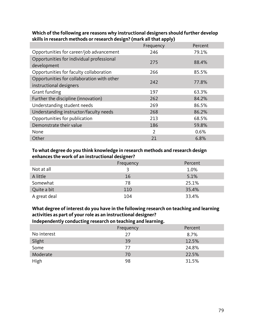|                                                                       | Frequency | Percent |
|-----------------------------------------------------------------------|-----------|---------|
| Opportunities for career/job advancement                              | 246       | 79.1%   |
| Opportunities for individual professional<br>development              | 275       | 88.4%   |
| Opportunities for faculty collaboration                               | 266       | 85.5%   |
| Opportunities for collaboration with other<br>instructional designers | 242       | 77.8%   |
| Grant funding                                                         | 197       | 63.3%   |
| Further the discipline (innovation)                                   | 262       | 84.2%   |
| Understanding student needs                                           | 269       | 86.5%   |
| Understanding instructor/faculty needs                                | 268       | 86.2%   |
| Opportunities for publication                                         | 213       | 68.5%   |
| Demonstrate their value                                               | 186       | 59.8%   |
| None                                                                  | 2         | 0.6%    |
| Other                                                                 | 21        | 6.8%    |

#### **Which of the following are reasons why instructional designers should further develop skills in research methods or research design? (mark all that apply)**

## **To what degree do you think knowledge in research methods and research design enhances the work of an instructional designer?**

|              | Frequency | Percent |
|--------------|-----------|---------|
| Not at all   |           | 1.0%    |
| A little     | 16        | 5.1%    |
| Somewhat     | 78        | 25.1%   |
| Quite a bit  | 110       | 35.4%   |
| A great deal | 104       | 33.4%   |

# **What degree of interest do you have in the following research on teaching and learning activities as part of your role as an instructional designer?**

**Independently conducting research on teaching and learning.**

|             | Frequency | Percent |
|-------------|-----------|---------|
| No interest | 27        | 8.7%    |
| Slight      | 39        | 12.5%   |
| Some        | 77        | 24.8%   |
| Moderate    | 70        | 22.5%   |
| <b>High</b> | 98        | 31.5%   |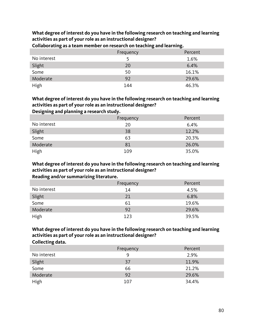**What degree of interest do you have in the following research on teaching and learning activities as part of your role as an instructional designer?**

|             | Frequency | Percent |
|-------------|-----------|---------|
| No interest |           | 1.6%    |
| Slight      | 20        | 6.4%    |
| Some        | 50        | 16.1%   |
| Moderate    | 92        | 29.6%   |
| High        | 144       | 46.3%   |

**Collaborating as a team member on research on teaching and learning.**

# **What degree of interest do you have in the following research on teaching and learning activities as part of your role as an instructional designer?**

**Designing and planning a research study.**

|             | Frequency | Percent |
|-------------|-----------|---------|
| No interest | 20        | 6.4%    |
| Slight      | 38        | 12.2%   |
| Some        | 63        | 20.3%   |
| Moderate    | 81        | 26.0%   |
| High        | 109       | 35.0%   |

**What degree of interest do you have in the following research on teaching and learning activities as part of your role as an instructional designer? Reading and/or summarizing literature.**

#### **What degree of interest do you have in the following research on teaching and learning activities as part of your role as an instructional designer? Collecting data.**

|                | Frequency | Percent |
|----------------|-----------|---------|
| No interest    | 9         | 2.9%    |
|                | 37        | 11.9%   |
| Slight<br>Some | 66        | 21.2%   |
| Moderate       | 92        | 29.6%   |
| High           | 107       | 34.4%   |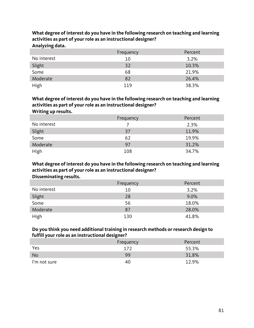**What degree of interest do you have in the following research on teaching and learning activities as part of your role as an instructional designer?**

**Analyzing data.**

|                | Frequency | Percent |
|----------------|-----------|---------|
| No interest    | 10        | 3.2%    |
| Slight<br>Some | 32        | 10.3%   |
|                | 68        | 21.9%   |
| Moderate       | 82        | 26.4%   |
| High           | 119       | 38.3%   |

# **What degree of interest do you have in the following research on teaching and learning activities as part of your role as an instructional designer?**

**Writing up results.**

|             | Frequency | Percent |
|-------------|-----------|---------|
| No interest |           | 2.3%    |
| Slight      | 37        | 11.9%   |
| Some        | 62        | 19.9%   |
| Moderate    | 97        | 31.2%   |
| High        | 108       | 34.7%   |

**What degree of interest do you have in the following research on teaching and learning activities as part of your role as an instructional designer? Disseminating results.**

|             | Frequency | Percent |
|-------------|-----------|---------|
| No interest | 10        | 3.2%    |
| Slight      | 28        | 9.0%    |
| Some        | 56        | 18.0%   |
| Moderate    | 87        | 28.0%   |
| <b>High</b> | 130       | 41.8%   |

# **Do you think you need additional training in research methods or research design to fulfill your role as an instructional designer?**

|              | Frequency | Percent |
|--------------|-----------|---------|
| Yes          | 172       | 55.3%   |
| <b>No</b>    | 99        | 31.8%   |
| I'm not sure | 40        | 12.9%   |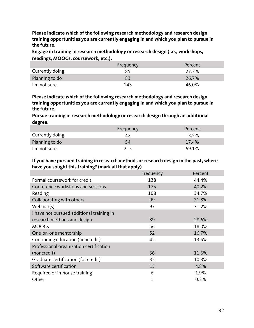**Please indicate which of the following research methodology and research design training opportunities you are currently engaging in and which you plan to pursue in the future.**

**Engage in training in research methodology or research design (i.e., workshops, readings, MOOCs, coursework, etc.).**

|                 | Frequency | Percent |
|-----------------|-----------|---------|
| Currently doing | 85.       | 27.3%   |
| Planning to do  | 83        | 26.7%   |
| I'm not sure    | 143       | 46.0%   |

**Please indicate which of the following research methodology and research design training opportunities you are currently engaging in and which you plan to pursue in the future.**

**Pursue training in research methodology or research design through an additional degree.**

|                 | Frequency | Percent |
|-----------------|-----------|---------|
| Currently doing |           | 13.5%   |
| Planning to do  | 54        | 17.4%   |
| I'm not sure    | 215       | 69.1%   |

## **If you have pursued training in research methods or research design in the past, where have you sought this training? (mark all that apply)**

|                                           | Frequency | Percent |
|-------------------------------------------|-----------|---------|
| Formal coursework for credit              | 138       | 44.4%   |
| Conference workshops and sessions         | 125       | 40.2%   |
| Reading                                   | 108       | 34.7%   |
| Collaborating with others                 | 99        | 31.8%   |
| Webinar(s)                                | 97        | 31.2%   |
| I have not pursued additional training in |           |         |
| research methods and design               | 89        | 28.6%   |
| <b>MOOCs</b>                              | 56        | 18.0%   |
| One-on-one mentorship                     | 52        | 16.7%   |
| Continuing education (noncredit)          | 42        | 13.5%   |
| Professional organization certification   |           |         |
| (noncredit)                               | 36        | 11.6%   |
| Graduate certification (for credit)       | 32        | 10.3%   |
| Software certification                    | 15        | 4.8%    |
| Required or in-house training             | 6         | 1.9%    |
| Other                                     |           | 0.3%    |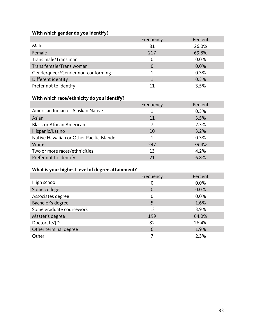# **With which gender do you identify?**

|                                   | Frequency | Percent |
|-----------------------------------|-----------|---------|
| Male                              | 81        | 26.0%   |
| Female                            | 217       | 69.8%   |
| Trans male/Trans man              |           | 0.0%    |
| Trans female/Trans woman          | $\Omega$  | 0.0%    |
| Genderqueer/Gender non-conforming |           | 0.3%    |
| Different identity                |           | 0.3%    |
| Prefer not to identify            |           | 3.5%    |

# **With which race/ethnicity do you identify?**

|                                           | Frequency | Percent |
|-------------------------------------------|-----------|---------|
| American Indian or Alaskan Native         |           | 0.3%    |
| Asian                                     | 11        | 3.5%    |
| <b>Black or African American</b>          |           | 2.3%    |
| Hispanic/Latino                           | 10        | 3.2%    |
| Native Hawaiian or Other Pacific Islander |           | 0.3%    |
| White                                     | 247       | 79.4%   |
| Two or more races/ethnicities             | 13        | 4.2%    |
| Prefer not to identify                    | 21        | 6.8%    |

# **What is your highest level of degree attainment?**

|                          | Frequency      | Percent |
|--------------------------|----------------|---------|
| High school              | 0              | 0.0%    |
| Some college             | $\overline{0}$ | 0.0%    |
| Associates degree        | $\Omega$       | 0.0%    |
| Bachelor's degree        | 5              | 1.6%    |
| Some graduate coursework | 12             | 3.9%    |
| Master's degree          | 199            | 64.0%   |
| Doctorate/JD             | 82             | 26.4%   |
| Other terminal degree    | 6              | 1.9%    |
| Other                    |                | 2.3%    |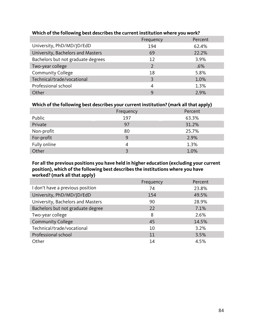|                                    | Frequency     | Percent |
|------------------------------------|---------------|---------|
| University, PhD/MD/JD/EdD          | 194           | 62.4%   |
| University, Bachelors and Masters  | 69            | 22.2%   |
| Bachelors but not graduate degrees | 12            | 3.9%    |
| Two-year college                   | $\mathcal{P}$ | .6%     |
| <b>Community College</b>           | 18            | 5.8%    |
| Technical/trade/vocational         | 3             | 1.0%    |
| Professional school                | 4             | 1.3%    |
| Other                              | 9             | 2.9%    |

## **Which of the following best describes the current institution where you work?**

## **Which of the following best describes your current institution? (mark all that apply)**

| --           | -<br>Frequency | Percent |
|--------------|----------------|---------|
| Public       | 197            | 63.3%   |
| Private      | 97             | 31.2%   |
| Non-profit   | 80             | 25.7%   |
| For-profit   | 9              | 2.9%    |
| Fully online |                | 1.3%    |
| Other        |                | 1.0%    |

**For all the previous positions you have held in higher education (excluding your current position), which of the following best describes the institutions where you have worked? (mark all that apply)**

|                                   | Frequency | Percent |
|-----------------------------------|-----------|---------|
| I don't have a previous position  | 74        | 23.8%   |
| University, PhD/MD/JD/EdD         | 154       | 49.5%   |
| University, Bachelors and Masters | 90        | 28.9%   |
| Bachelors but not graduate degree | 22        | 7.1%    |
| Two-year college                  | 8         | 2.6%    |
| <b>Community College</b>          | 45        | 14.5%   |
| Technical/trade/vocational        | 10        | 3.2%    |
| Professional school               | 11        | 3.5%    |
| Other                             | 14        | 4.5%    |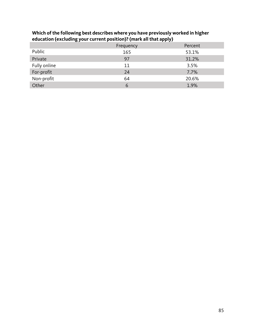| --           | Frequency | .<br>Percent |
|--------------|-----------|--------------|
| Public       | 165       | 53.1%        |
| Private      | 97        | 31.2%        |
| Fully online | 11        | 3.5%         |
| For-profit   | 24        | 7.7%         |
| Non-profit   | 64        | 20.6%        |
| Other        | 6         | 1.9%         |

## **Which of the following best describes where you have previously worked in higher education (excluding your current position)? (mark all that apply)**